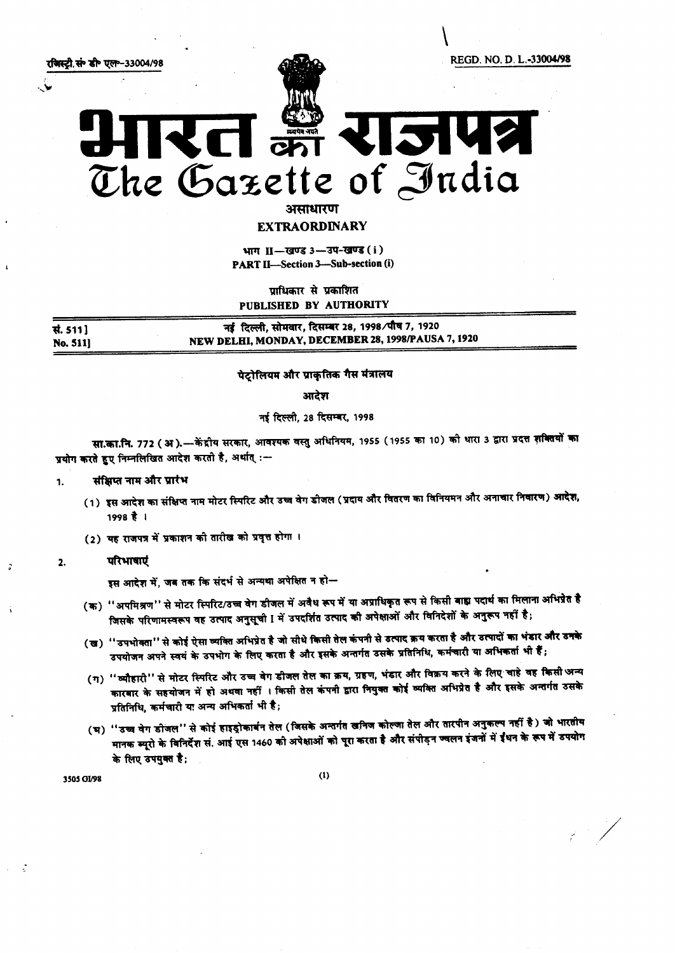

असाधारण

EXTRAORDINARY

भाग II-खण्ड 3-3प-खण्ड (i) PART II-Section 3-Sub-section (i)

 $m$ धिकार से प्रकाशित PUBLISHED BY AUTHORITY

**सं. 511] No. 511]** नई दिल्ली, सोमवार, दिसम्बर 28, 1998/पौष 7, 1920 NEW DELHI, MONDAY, DECEMBER 28, 1998/PAUSA 7, 1920

#### पेटोलियम और प्राकृतिक गैस मंत्रालय

आदेश

## नई दिल्ली, 28 दिसम्बर, 1998

सा.का.नि. 772 ( अ ).—केंद्रीय सरकार, आवश्यक वस्तु अधिनियम, 1955 (1955 का 10) को थारा 3 द्वारा प्रदत्त शक्तियों का प्रयोग करते हुए निम्नलिखित आदेश करती है, अर्थात् :-

#### 1. संक्षिप्त नाम और प्रारंभ

- (1) इस आदेश का संक्षिप्त नाम मोटर स्पिरिट और उच्च वेग डोजल (प्रदाय और वितरण का विनियमन और अनाचार निवारण) आदेश, 1998t I
- (2) यह राजपत्र में प्रकाशन की तारीख को प्रवृत्त होगा ।

# :; 2. ~

इस आदेश में, जब तक कि संदर्भ से अन्यथा अपेक्षित न हो

- (क) ''अपमिश्रण'' से मोटर स्पिरिट/उच्च वेग डीजल में अवैध रूप में या अप्राधिकृत रूप से किसी बाह्य पदार्थ का मिलाना अभिप्रेत है जिसके परिणामस्वरूप वह उत्पाद अनुसूची I में उपदर्शित उत्पाद की अपेक्षाओं और विनिदेशों के अनुरूप नहीं है;
- (ख) ''उपभोक्ता'' से कोई ऐसा व्यक्ति अभिप्रेत है जो सीधे किसी तेल कंपनी से डत्पाद क्रय करता है और उत्पादों का भंडार और उनके उपयोजन अपने स्वयं के उपभोग के लिए करता है और इसके अन्तर्गत उसके प्रतिनिधि, कर्मचारी या अभिकर्ता भी हैं;
- (ग) ''व्यौहारी'' से मोटर स्पिरिट और उच्च वेग डीजल तेल का क्रय, ग्रहण, भंडार और विक्रय करने के लिए चाहे वह किसी अन्य 1fiT{IIR~ ~~<t)"""-q 3l~":fit I~ ~ ~ <sup>~</sup> ~ 1fITt~ ~ t ~ ~ ~ ~ कारबार के संस्थापन ने इ<br>प्रतिनिधि, कर्मचारी या अन्य
- (भ) ''उच्च वेग डीजल'' से कोई हाइड्रोकार्बन तेल (जिसके अन्तर्गत खनिज कोल्जा तेल और तारपीन अनुकल्प नहीं है) जो भारतीय ''उच्च वेग डोजल'' से कोई हाइड्रोकार्बन तेल (जिसके अन्तर्गत खनिज कोल्जा तेल और तारपीन अनुकल्प नहीं है ) जो भा<br>मानक ब्यूरो के विनिर्देश सं. आई एस 1460 को अपेक्षाओं को पूरा करता है और संपीड़न ज्वलन इंजनों में ईंधन के रूप म के लिए उपयुक्त है;

/

 $3505$  GI/98 (1)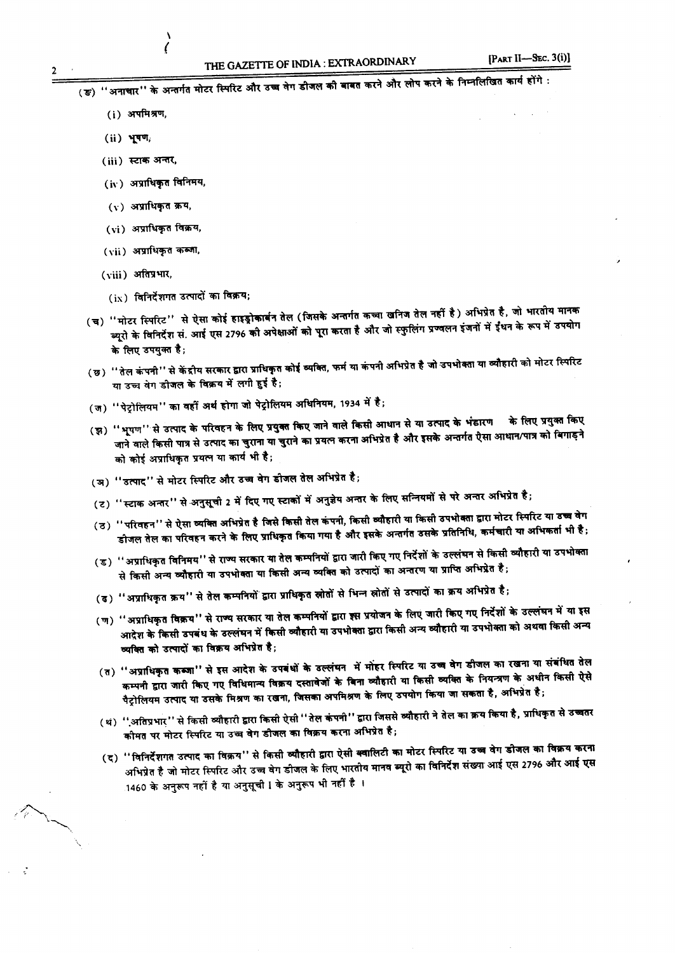(ङ) ''अनाचार'' के अन्तर्गत मोटर स्पिरिट और उच्च वंग डाजल का बाबत करने आर लान करने के सार सरकार समय रहे हैं।

- $(i)$  अपमिश्रण,
- $(ii)$   $Y^{TT}$
- $(iii)$  स्टाक अन्तर,
- $(iv)$  अप्राधिकृत विनिमय,

\ (

- (v) अप्राधिकृत क्रय,
- $(vi)$  अप्राधिकृत विक्रय,
- $(vii)$  अप्राधिकृत कब्जा,
- (viii) *31fml~.*
	- $(ix)$  विनिर्देशगत उत्पादों का विक्रय;
- (च) ''मोटर स्पिरिट'' से ऐसा कोई हाइड्रोकार्बन तेल (जिसके अन्तर्गत कच्चा खनिज तेल नहीं है) अभिप्रेत है, जो भारतीय मानक<br>(च) ''मोटर स्पिरिट'' से ऐसा कोई हाइड्रोकार्बन तेल (जिसके अन्तर्गत कच्चा खनिज तेल नहीं है ) अभिप्रे हैं ' माटर ास्पारट के साथ सा कार रुग्देजना ने परा राजरात्री को पूरा करता है। अपने स्फुलिंग प्रज्वलन इंजनों में ईंधन के रूप में उ<br>ब्यूरो के विनिर्देश सं. आई एस 2796 की अपेक्षाओं को पूरा करता है और जो स्फुलिंग प्रज्वलन इंजनों म के लिए उपयुक्त है;
- (छ) ''तेल कंपनी'' से केंद्रीय सरकार द्वारा प्राधिकृत कोई व्यक्ति, फर्म या कंपनी अभिप्रेत है जो उपभोक्ता या व्यौहारी को मोटर स्पिरिट या उच्च वेग डीजल के विक्रय में लगी हुई है;
- (ज) ''पेट्रोलियम'' का वहीं अर्थ होगा जो पेट्रोलियम अधिनियम, 1934 में है;
- (झ) ''भूपण'' से उत्पाद के परिवहन के लिए प्रयुक्त किए जाने वाले किसी आधान से या उत्पाद के भंडारण कि लिए प्रयुक्त किए ्यूपण प्लाउलाव के सालाही के सालाही को प्रयत्न करना अभिप्रेत है और इसके अन्तर्गत ऐसा आधान/पात्र को बि<br>जाने वाले किसी पात्र से उत्पाद का चुराना या चुराने का प्रयत्न करना अभिप्रेत है और इसके अन्तर्गत ऐसा आधान/पात्र को बि को कोई अप्राधिकृत प्रयत्न या कार्य भी है;
- (अ) "उत्पाद" से मोटर स्पिरिट और उच्च वेग डीजल तेल अभिप्रेत है;
- (ट) ''स्टाक अन्तर'' से अनुसूची 2 में दिए गए स्टाकों में अनुज्ञेय अन्तर के लिए सन्नियमों से परे अन्तर अभिप्रेत ह
- (ठ) ''परिवहन'' से ऐसा व्यक्ति अभिप्रेत है जिसे किसी तेल कंपनी, किसी व्यौहारी या किसी उपभो डीजल तेल का परिवहन करने के लिए प्राधिकृत किया गया है और इसके अन्तर्गत उसके प्रतिनिधि, कर्मचारी या अभिकर्ता भी है;
- (ड) ''अप्राधिकृत विनिमय'' से राज्य सरकार या तेल कम्पनियों द्वारा जारी किए गए निर्देशों के उल्लंघन से किसी व्यौहारी या उपभोक्ता से किसी अन्य व्यौहारी या उपभोक्ता या किसी अन्य व्यक्ति को उत्पादों का अन्तरण या प्राप्ति अभिप्रेत है;
- (ढ) ''अप्राधिकृत क्रय'' से तेल कम्पनियों द्वारा प्राधिकृत स्रोतों से भिन्न स्रोतों से उत्पादों का क्रय अभिप्रेत ह
- (5) साल के लिए करने हैं।<br>(ण) ''अप्राधिकृत विक्रय'' से राज्य सरकार या तेल कम्पनियों द्वारा इस प्रयोजन के लिए जारी किए गए निर्देशों के उल्लंघन में या इ आदेश के किसी उपबंध के उल्लंघन में किसी व्यौहारी या उपभोक्ता द्वारा किसी अन्य व्यौहारी या उपभोक्ता का अथवा किसा ज व्यक्ति को उत्पादों का विक्रय अभिप्रेत है;
- (त) "अप्राधिकृत कब्जा" से इस आदेश के उपबंधों के उल्लंघन में मोहर स्पिरिट या उच्च वेग डीजल का रखना या संबंधित तेल<br>(त) "अप्राधिकृत कब्जा" से इस आदेश के उपबंधों के उल्लंघन में मोहर स्पिरिट या उच्च वेग डीजल का रखना से अधीन कम्पनी द्वारा जारी किए गए विधिमान्य विक्रय दस्तावेजों के बिना व्यौहारी या किसी व्यक्ति के नियन्त्रण के अधीन किसी ऐसे पैट्रोलियम उत्पाद या उसके मिश्रण का रखना, जिसका अपमिश्रण के लिए उपयोग किया जा सकता है, अभिप्रेत है;
- (थ) ''.अतिप्रभार'' से किसी व्यौहारी द्वारा किसी ऐसी ''तेल कंपनी'' द्वारा जिससे व्यौहारी ने तेल का क्रय किया है, प्राधिकृत से उच्चतर कीमत पर मोटर स्पिरिट या उच्च वेग डीजल का विक्रय करना अभिप्रेत है;
- (द) ''विनिर्देशगत उत्पाद का विक्रय'' से किसी व्यौहारी द्वारा ऐसी क्वालिटी का मोटर स्पिरिट या उच्च वेग डीजल का विक्रय करना अभिप्रेत है जो मोटर स्पिरिट और उच्च वेग डीजल के लिए भारतीय मानव ब्यूरो का विनिर्देश संख्या आई एस 2796 और आ<mark>ई एस</mark> 1460 के अनुरूप नहीं है या अनुसूची ! के अनुरूप भी नहीं है ।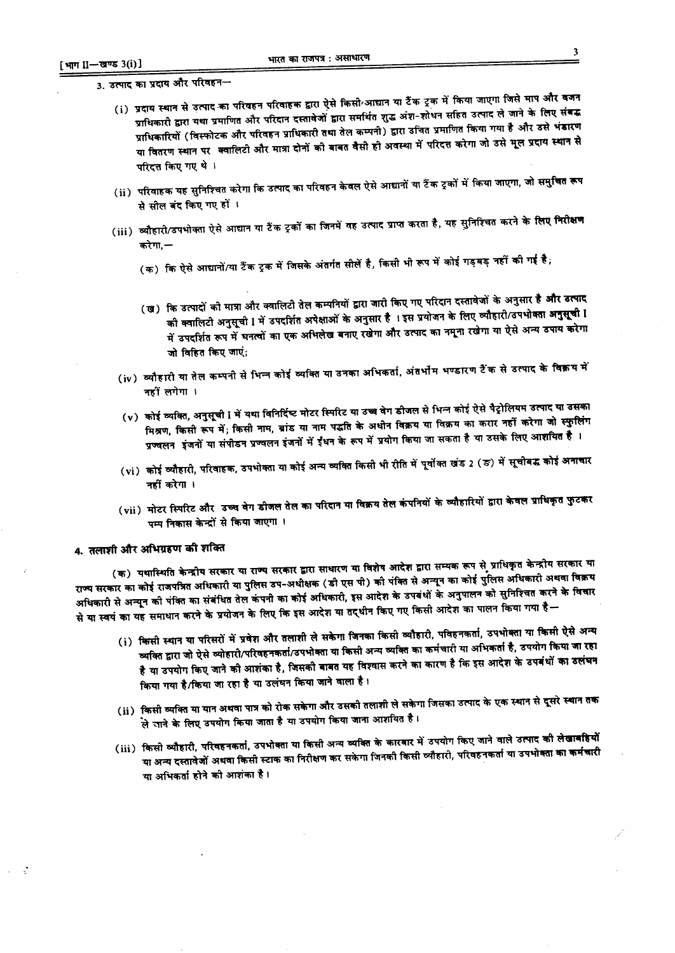3. उत्पाद का प्रदाय और परिवहन—

- i) प्रदाय स्थान से उत्पाद का परिवहन परिवाहक द्वारा ऐसे किसी आद्यान या टैंक ट्रक में किया जाएगा जिसे माप और वै<br>(i) प्रदाय स्थान से उत्पाद का परिवहन परिवाहक द्वारा ऐसे किसी आद्या लेकर राष्ट्रिय उत्पाद से जाने के लिए सं प्राधिकारी द्वारा यथा प्रमाणित और परिदान दस्तावेजों द्वारा समर्थित शुद्ध अंश-शोधन सहित उत्पाद ले जाने के लिए संबद्ध प्राधिकारी द्वारा यथा प्रमाणित आर पारदान दस्तावणा कारा समानत सुद्ध करें. ''' '' '' '''<br>प्राधिकारियों (विस्फोटक और परिवहन प्राधिकारी तथा तेल कम्पनी) द्वारा उचित प्रमाणित किया गया है और उसे भं<br>पुलिया का कार्य क्या कार्य क या वितरण स्थान पर क्वालिटी और मात्रा दोनों को बाबत वैसी ही अवस्था में परिदत्त करेगा जो उसे मूल प्रदाय स्थान से परिदत्त किए गए थे।
- (ii) परिवाहक यह सुनिश्चित करेगा कि उत्पाद का परिवहन केवल ऐसे आद्यानों या टैंक ट्रकों में किया जाएगा, जो समुचित र से सील बंद किए गए हों ।
- (iii) व्यौहारो/उपभोक्ता ऐसे आद्यान या टैंक ट्रकों का जिनमें वह उत्पाद प्राप्त करता है, यह सुनिश्चित करने के लिए <mark>निरीक्षण</mark> करेगा.—
	- (क) कि ऐसे आद्यानों/या टैंक ट्रक में जिसके अंतर्गत सीलें है, किसी भी रूप में कोई गड़बड़ नहीं की गई है;
	- (ख) कि उत्पादों की मात्रा और क्वालिटी तेल कम्पनियों द्वारा जारी किए गए परिदान दस्तावेजों के अनुसार **है और उत्पाद** को क्वालिटी अनुसूची I में उपदर्शित अपेक्षाओं के अनुसार है । इस प्रयोजन के लिए व्यौहारी/उपभोक्ता अनुसूची I का क्वालिटा जनुसूचा 1 ने 3 दिल्ली का लोकों के न्यूज़िक के दुर्ग और उत्पाद का नमूना रखेगा या ऐसे अन्य उ जो विहित किए जाएं;
	- $(\mathrm{i}\mathrm{v})$  व्यौहारी या तेल कम्पनी से भिन्न कोई व्याक्त या उनका आभकता, जतनान नन्दार संदेख संस्थान के विक्र $\overline{\mathbf{q}}$  ग नहीं लगेगा ।
	- (v) कोई व्यक्ति, अनुसूची I में यथा विनिर्दिष्ट मोटर स्पिरिट या उच्च वेग डीजल से भिन्न कोई ऐसे पैट्रोलियम उत्पाद या उसका मिश्रण, किसी रूप में; किसी नाम, ब्रांड या नाम पद्धति के अधीन विक्रय या विक्रय का करार नहीं करेगा जो स्फुलिंग न्निर्ण, न्यूला रूप ने, न्यूला में जी करना में ईंधन के रूप में प्रयोग किया जा सकता है या उसके लिए आशयित है ।<br>प्रज्वलन इंजनों या संपीडन प्रज्वलन इंजनों में ईंधन के रूप में प्रयोग किया जा सकता है या उसके लिए आशयित है ।
	- (vi ) कोई व्यौहारी, परिवाहक, उपभोक्ता या कोई अन्य व्यक्ति किसी भी रीति में पूर्वोक्त खंड 2 (ङ) में सूचीबद्ध कोई अ नहीं करेगा।
	- (vii) मोटर स्पिरिट और उच्च वेग डीजल तेल का परिदान या विक्रय पम्प निकास केन्द्रों से किया जाएगा ।

## 4. तलाशी और अभिग्रहण की शक्ति

(क) यथास्थिति केन्द्रीय सरकार या राज्य सरकार द्वारा साधारण या विशेष आदेश द्वारा सम्यक रूप से प्राधिकृत केन्द्रीय सरकार य "{IIRI~ 1Ii1~ ~ 31f~ ~ ~ oq-3t.n~ (~~ '1ft)ctT-qm <sup>~</sup> <sup>~</sup> 1Ii1ctTt~ <sup>~</sup> 3t~ <sup>~</sup> अधिकारी से अन्यून को पंक्ति का संबंधित तेल कंपनी का कोई अधिकारी, इस आदेश के उपबंधों के अनुपालन को सुनिश्चित करने के विचार से या स्वयं का यह समाधान करने के प्रयोजन के लिए कि इस आदश या तद्यान किए गए कि आदेश कि न उ<br>किया गया <mark>है</mark> -

- (i) किसी स्थान या परिसरों में प्रवेश और तलाशी ले सकेगा जिनका किसी व्यौहारी, पविहनकर्ता, उपभोक्ता या किसी ऐसे अ<br>'पुलिसी स्थान या परिसरों में प्रवेश और तलाशी ले सकेगा जिनका किसी व्यौहारी, पविहनकर्ता, उपभोक्ता या किया का उ व्यक्ति द्वारा जो ऐसे व्योहारी/परिवहनकर्ता/उपभोक्ता या किसी अन्य व्यक्ति का कर्मचारी या अभिकर्ता है, उपयोग किया जा रहा है या उपयोग किए जाने को आशंका है, जिसको बाबत यह विश्वास करने का कारण है कि इस आदेश के उपबंधों <mark>का उलंघन</mark> किया गया है/किया जा रहा है या उलंघन किया जाने वाला है।
- $\,$  (ii )  $\,$  किसी व्यक्ति या यान अथवा पात्र को रोक सकेगा और उसकी तलाशी ले सकेगा जिसका उत्पाद के एक स्थान से दूसरे स्थान तक .<br>ले जाने के लिए उपयोग किया जाता है या उपयोग किया जाना आशयित है।
- (iii) किसी व्यौहारी, परिवहनकर्ता, उपभोक्ता या किसी अन्य व्यक्ति के <sup>द</sup> या अन्य दस्तावेजों अथवा किसी स्टाक का निरीक्षण कर सकेगा जिनको किसा व्याहारा, पारंपहंचकता था उपनामता या अभिकर्ता होने को आशंका है।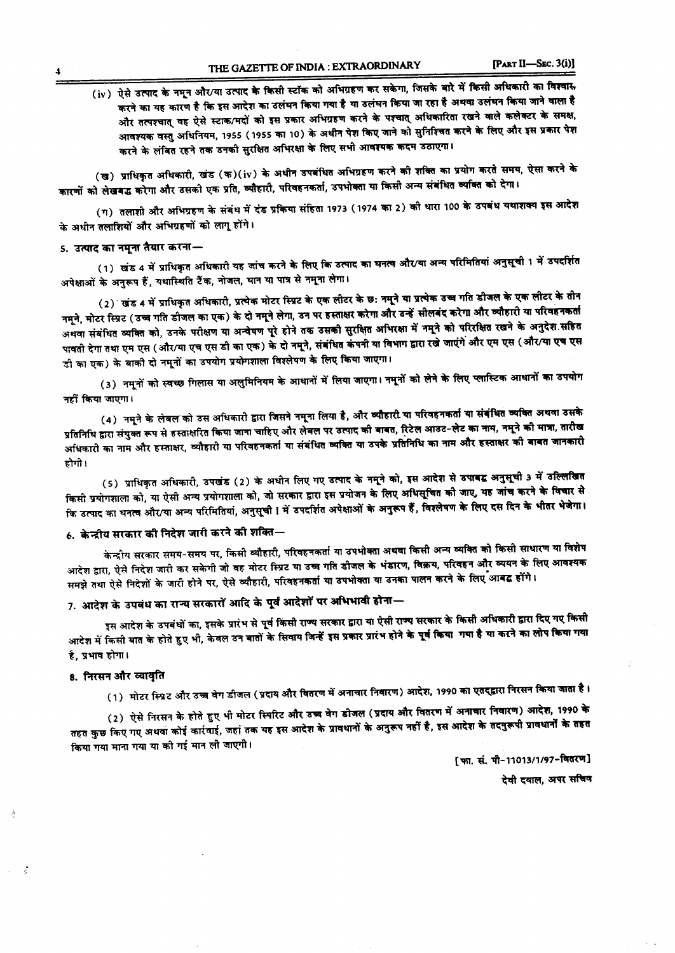# (iv) ऐसे उत्पाद के नमून और/या उत्पाद के किसी स्टॉक को अभिग्रहण कर सकेगा, जिसके बारे में किसी अधिकारी का विश्वास करने का यह कारण है कि इस आदेश का उलंघन किया गया है या उलंघन किया जा रहा है अथवा उलंघन किया जाने वाला है और तत्पश्चात् वह ऐसे स्टाक/मदों को इस प्रकार अभिग्रहण करने के पश्चात् अधिकारिता रखने वाले कलेक्टर के समक्ष, आवश्यक वस्तु अधिनियम, 1955 (1955 का 10) के अधीन पेश किए जाने को सुनिश्चित करने के लिए और इस प्रकार पेश करने के लंबित रहने तक उनकी सुरक्षित अभिरक्षा के लिए सभी आवश्यक कदम उठाएगा।

(ख) प्राधिकृत अधिकारी, खंड (क)(iv) के अधीन उपबंधित अभिग्रहण करने को शक्ति का प्रयोग करते समय, ऐसा करने के कारणों को लेखबद्ध करेगा और उसकी एक प्रति, व्यौहारी, परिवहनकर्ता, उपभोक्ता या किसी अन्य संबंधित व्यक्ति को देगा।

(ग) तलाशी और अभिग्रहण के संबंध में दंड प्रकिया संहिता 1973 (1974 का 2) को धारा 100 के उपबंध यथाशक्य इस आदेश के अधीन तलाशियों और अभिग्रहणों को लागू होंगे।

#### $\,$ s. उत्पाद का नमुना तैयार करना $\,$

(1) खंड 4 में प्राधिकृत अधिकारी यह जांच करने के लिए कि उत्पाद का घनत्व और⁄या अन्य परिमितियां अनुसूची 1 में उ अपेक्षाओं के अनुरूप हैं, यथास्थिति टैंक, नोजल, घान या पात्र से नमूना लेगा।

(2) खंड 4 में प्राधिकृत अधिकारी, प्रत्येक मोटर स्प्रिट के एक लीटर के छः नमूने या प्रत्येक उच्च गति डीजल के एक लीटर के तीन<br>नमूने, मोटर स्प्रिट (उच्च गति डीजल का एक) के दो नमूने लेगा, उन पर हस्ताक्षर करेगा और उन्हें सीलबंद नमून, माटर ास्प्रट ( उच्च गात डाजल का एक ) के दो नमून लगा, उने पर रखादार गए गया है के आन्दो को परिरक्षित रखने के अनुदेश सहित<br>अथवा संबंधित व्यक्ति को, उनके परीक्षण या अन्वेषण पूरे होने तक उसकी सुरक्षित अभिरक्षा में नमूने क पावती देगा तथा एम एस (और⁄या एच एस डी का एक) के दो नमूने, संबंधित कंपनी या विभाग द्वारा रखे जाएंगे और एम एस (और⁄या एच एस र्डी का एक) के बाकी दो नमूनों का उपयोग प्रयोगशाला विश्लेषण के लिए किया जाएगा।

(3) नमूनों को स्वच्छ गिलास या अलुमिनियम के आधानों में लिया जाएगा। नमूनों को लेने के लिए प्लास्टिक आधानों का उपयोग नहीं किया जाएगा।

(4) नमूने के लेबल को उस अधिकारी द्वारा जिसने नमूना लिया है, और व्यौहारी या परिवहनकर्ता या संबंधित व्यक्ति अथवा उसके ~~ <sup>~</sup> ~~ <sup>~</sup> <sup>~</sup> ~e.-TfUf ~ "!AT~ ~ ~ "R <sup>~</sup> ~~, <sup>~</sup> ~-~ 1IiT~, ~ 1fI1"'"", ~ प्रातानाय द्वारा समुका समय स रूरतायारत कि के कारण कर रूप कर कर के प्रकार के प्रतिनिधि का नाम और इस्ताक्षर की बाबत ज<br>अधिकारी का नाम और इस्ताक्षर, व्यौहारी या परिवहनकर्ता या संबंधित व्यक्ति या उपके प्रतिनिधि का नाम और इस्त होगी ।

(5) प्राधिकृत अधिकारी, उपखंड (2) के अधीन लिए गए उत्पाद के नमूने को, इस आदेश से <mark>उपाबद्व अनुसूची 3 में उल्लिखित</mark> किसी प्रयोगशाला को, या ऐसी अन्य प्रयोगशाला को, जो सरकार द्वारा इस प्रयोजन के लिए अधिसूचित की जाए, यह जांच करने के विचार से कि उत्पाद का घनत्व और/या अन्य परिमितियां, अनुसूची ! में उपदर्शित अपेक्षाओं के अनुरूप हैं, विश्लेषण के लिए दस दिन के भीतर भेजेगा।<br>कि उत्पाद का घनत्व और/या अन्य परिमितियां, अनुसूची ! में उपदर्शित अपेक्षाओं के अनुरूप हैं, वि

## $\epsilon$ . केन्द्रीय सरकार की निदेश जारी करने की शक्ति—

केन्द्रीय सरकार समय-समय पर, किसी व्यौहारी, परिवहनकर्ता या उपभोक्ता अथवा किसी अन्य व्यक्ति को किसी साधारण या विशेष क द्राय सरकार समय-समय पर, मिला कराया कर समय कर के भंडारण, विक्रय, परिवहन और व्ययन के लिए अ<br>आदेश द्वारा, ऐसे निदेश जारी कर सकेगी जो वह मोटर स्प्रिट या उच्च गति डीजल के भंडारण, विक्रय, परिवहन और व्ययन के समझे तथा ऐसे निदेशों के जारी होने पर, ऐसे व्यौहारी, परिवहनकर्ता या उपभोक्ता या उनका पालन करने के लिए आबद्ध होंगे।

# 7. आदेश के उपबंध का राज्य सरकारों आदि के पूर्व आदेशों पर अभिभावी होना $-$

इस आदेश के उपबंधों का, इसके प्रारंभ से पूर्व किसी राज्य सरकार द्वारा या ऐसी राज्य सरकार के किसी अधिकारी द्वारा दिए गए <sup>बि</sup><br>पुलिए किसी का लोप किया ् इस आदेश के उपबंधा का, इसके प्रारंभ से स्वाम का सारम के लिए करने के पूर्व किया गया है या करने का लोप किया ग<br>आदेश में किसी बात के होते हुए भी, केवल उन बातों के सिवाय जिन्हें इस प्रकार प्रारंभ होने के पूर्व किया गया है या है. प्रभाव होगा।

#### 8. निरसन और व्यावृति

 $\mathcal{A}$ 

-

(1) मोटर स्प्रिट और उच्च वेग डीजल (प्रदाय और वितरण में अनाचार निवारण) आदेश, 1990 का एतद्द्वारा निरसन किया जाता है।

(2) ऐसे निरसन के होते हुए भी मोटर स्मिरिट और उच्च वेग डीजल (प्रदाय और वितरण में अनाचार निवारण) आदेश, 1990 के<br>पुर्व के सामान के प्रति हुए भी मोटर स्मिरिट और उच्च वेग डीजल (प्रदाय और वितरण में अनाचार निवारण) साम्रक्षाओं क तहत कुछ किए गए अथवा कोई कार्रवाई, जहां तक यह इस आदेश के प्रावधानों के अनुरूप नहीं है, इस आदेश के तदनुरूपी प्रावधानों के तहत किया गया माना गया या को गई मान ली जाएगी।

[फ़ा. सं. पी-11013/1/97-वितरण]

देवी दयाल, अपर सचिव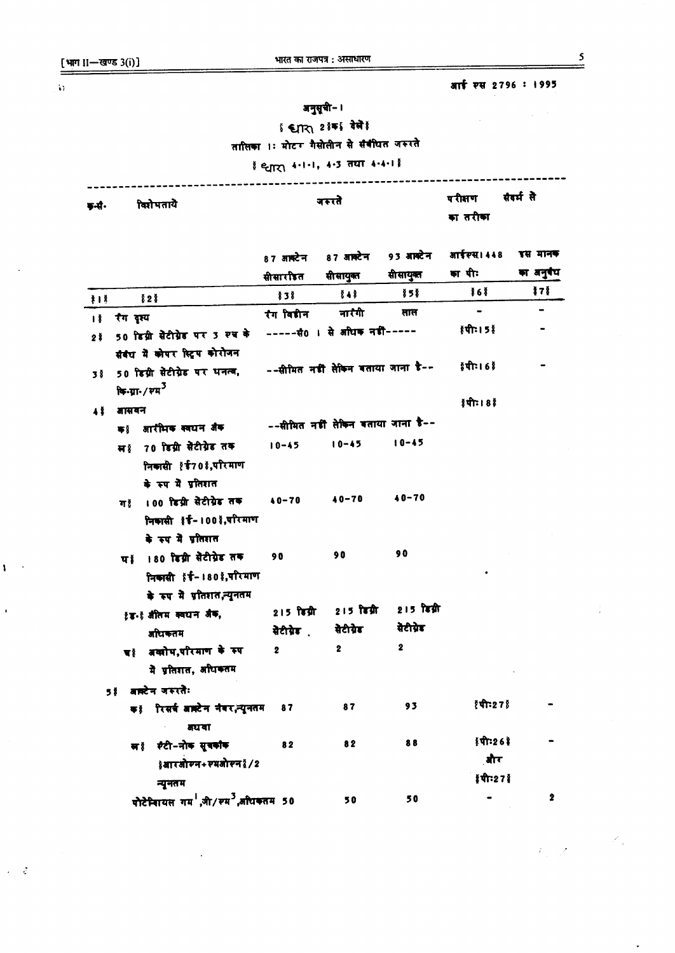[भाग II-खण्ड 3(i)]

## आई स्स 2796 : 1995

 $\label{eq:2.1} \frac{1}{\sqrt{2\pi}}\int_{\mathbb{R}^{2}}\left|\frac{d\mathbf{r}}{d\mathbf{r}}\right|^{2}d\mathbf{r}=\frac{1}{2}\int_{\mathbb{R}^{2}}\left|\frac{d\mathbf{r}}{d\mathbf{r}}\right|^{2}d\mathbf{r}.$ 

# अनुसूची- ।

\$ €∏र\ 2 !क} देखें !

तासिका ।: मोटर गैसोलीन से संवीधत जरूरते

## है इतरा 4.1.1, 4.3 तथा 4.4.1 है

| डनी.           | विशेषताये                                                                           |                         | जरुरते                            |              |                               | सेवर्म ले |
|----------------|-------------------------------------------------------------------------------------|-------------------------|-----------------------------------|--------------|-------------------------------|-----------|
|                |                                                                                     | $87$ अक्टेन             | 87 अक्टेन                         | 93 आक्टेन    | आईस्स। 448                    | इस मानक   |
|                |                                                                                     | सीसारीइत                | सीसायुक्त                         | सीसायुक्त    | का पीः                        | का अनुबंध |
| 3 <sup>1</sup> | 828                                                                                 | 838                     | $8 + 8$                           | 多58          | 868                           | 171       |
| Ιğ             | रंग दृश्य                                                                           | रंग विडीन               | नारैगी                            | साल          |                               |           |
| 2 <sup>3</sup> | 50 डिग्री सेंटीग्रेड पर 3 रुच के<br>संबंध में कोपर स्टिप कोरोजन                     |                         | ----- सं0 । से अधिक नहीं-----     |              | १ पी : । 5                    |           |
| 38             | 50 डिग्री सैटीग्रेड पर धनत्व,                                                       |                         | --सीमित नडी लेकिन बताया जाना डै-- |              | १० । गरि १                    |           |
|                | ਥਿ-ਧ਼ਾ- / ਦਸ <sup>3</sup>                                                           |                         |                                   |              | $  \mathbf{r}   \mathbf{r}  $ |           |
| 48             | जासवन                                                                               |                         | --सीमित नडी सेकिन बताया जाना है-- |              |                               |           |
|                | आरीभक स्वधन अंक<br>₩ğ                                                               | $10 - 45$               | $10 - 45$                         | $10 - 45$    |                               |           |
|                | मां 70 डिग्री सेेटीग्रेड तक<br>निकासी १६70 ,परिमाण<br>के रुप में प्रतिशत            |                         |                                   |              |                               |           |
|                | 100 डिग्री सेेटीग्रेड तक<br>ग≬<br>निकासी १४-। 00 ई,परिमाण<br>के रूप में प्रतिशत     | $40 - 70$               | $40 - 70$                         | $40 - 70$    |                               |           |
|                | पां 180 डिग्री सेटीग्रेड तक<br>निकासी १४-180 !,परिमाण<br>के रूप में प्रतिशत,न्यूनतम | 90                      | 90                                | 90           |                               |           |
|                | १४.९ औतम क्वथन अंक,                                                                 | $215$ डिग्री            | 215 डिग्री                        | 215 किश्नी   |                               |           |
|                | अधिकतम                                                                              | सेटीग्रेड<br>           | सेटीग्रेड                         | वेटीग्रेड    |                               |           |
|                | या अवशोष,परिमाण के रुप<br>मे प्रतिशत, अधिकतम                                        | $\overline{\mathbf{2}}$ | $\overline{\mathbf{2}}$           | $\mathbf{2}$ |                               |           |
|                | 5 हैं अक्टेन जरूरतेः                                                                |                         |                                   |              |                               |           |
|                | क!ीरसर्व आपटेन नंबर,न्यूनतम                                                         | 87                      | 87                                | 93           | <i>रेपी</i> :27 हैं           |           |

्राज्ञ संस्था संस्था ।<br>संस्कृत संस्था संस्था हो<mark>।</mark><br>संस्कृत संस्कृत संस्कृत संस्कृत संस्कृत संस्कृत संस्कृत संस्कृत संस्कृत संस्कृत संस्कृत संस्कृत संस्कृत संस्कृ

न्यूनतम

साइं स्टी-नोक सुवकांक 82

} बारजोरन+स्मजोरन } / 2

पोटेन्सियल गर्म,जी/रूम<sup>3</sup>,अधिकतम 50

 $\dot{\omega}$ 

 $\pmb{\mathcal{N}}$ 

 $\omega = \frac{\pi}{2}$ 

 $\mathcal{S}_\varphi$ 

 $\overline{\mathbf{2}}$ 

 $\frac{1}{2}$ पी:26

्बोर

≬पीः27 ई

 $\bullet$ 

i.

88

50

82

50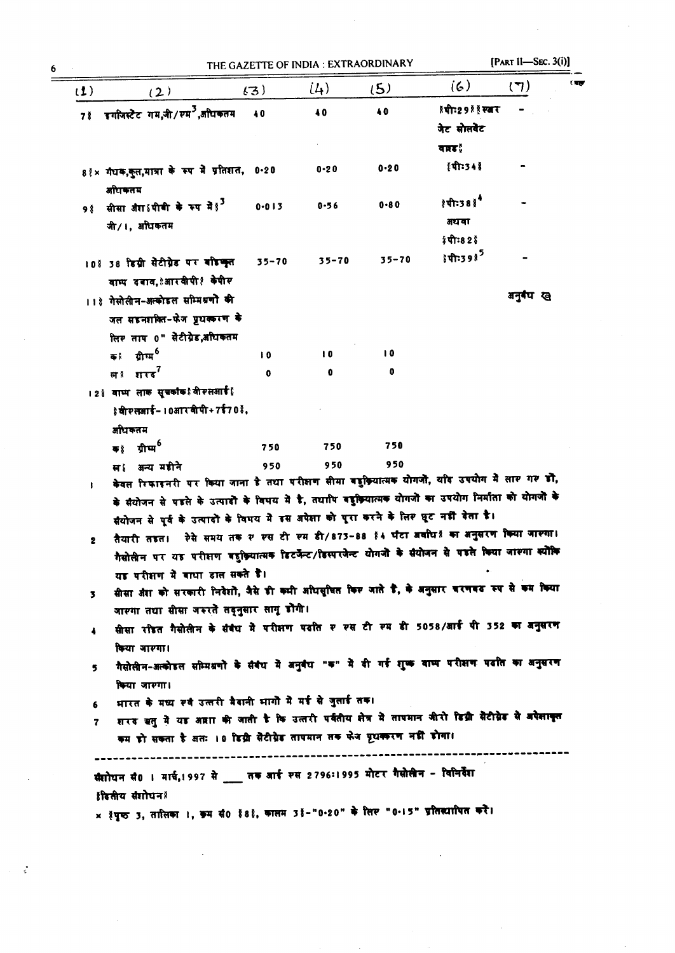$\label{eq:2.1} \frac{1}{2} \int_{\mathbb{R}^3} \frac{d^2}{dx^2} \, dx = \frac{1}{2} \int_{\mathbb{R}^3} \frac{d^2}{dx^2} \, dx$ 

| (1)            | (2)                                                                                                                                                                  | (3)       | (L)           | (5)          | (6)                     | ं बह<br>(7) |  |
|----------------|----------------------------------------------------------------------------------------------------------------------------------------------------------------------|-----------|---------------|--------------|-------------------------|-------------|--|
|                | 7 ई इगोजस्टैट गम,जी/रम <sup>3</sup> ,अधिकतम                                                                                                                          | 40        | 40            | 40           | जेट सोसबेट              |             |  |
|                |                                                                                                                                                                      |           |               |              | वारह¦                   |             |  |
|                | 8 १ × गंधक,कुल,मात्रा के रूप में प्रतिशत, 0-20<br>अधिकतम                                                                                                             |           | $0 - 20$      | $0 - 20$     | {पी:34 ई                |             |  |
| 9 <sup>8</sup> | सीसा जैरा थीबी के रूप में हु <sup>3</sup><br>जी/।, अधिकतम                                                                                                            | $0 - 013$ | $0 - 56$      | $0 - 80$     | है थी:38 हैं<br>अथवा    |             |  |
|                |                                                                                                                                                                      |           |               |              | ≬पीः82 ई                |             |  |
|                | 108 38 डिग्री सेंटीग्रेड पर बांडक्ल<br>वाम्प दबाव, त्आर वीपी १ केपीर                                                                                                 | $35 - 70$ | $35 - 70$     | $35 - 70$    | हेपी:39 है <sup>5</sup> |             |  |
|                | ।।१ गेसोलीन-अल्कोडल सम्मिश्रणों की                                                                                                                                   |           |               |              |                         | अनुबंध ख    |  |
|                | जल सहनशक्ति-फेज प्रृथकरण के                                                                                                                                          |           |               |              |                         |             |  |
|                | लिर ताप 0" सेटीग्रेड,अधिकतम                                                                                                                                          |           |               |              |                         |             |  |
|                | क <sup>ू</sup> ग्रीम्म <sup>6</sup>                                                                                                                                  | 10        | $\mathbf{10}$ | $\mathbf{0}$ |                         |             |  |
|                |                                                                                                                                                                      | 0         | 0             | 0            |                         |             |  |
|                | । 2 } वाष्प लाक सुचकांक १ वी रलआई }                                                                                                                                  |           |               |              |                         |             |  |
|                | \$वीरलआई-10आरबीपी+7ई70 %,                                                                                                                                            |           |               |              |                         |             |  |
|                | अधिकतम                                                                                                                                                               |           |               |              |                         |             |  |
|                | क≬ ग्रीम्म <sup>6</sup>                                                                                                                                              | 750       | 750           | 750          |                         |             |  |
|                | स्र{अन्य महीने<br>केवल रिफाइनरी पर किया जाना है तथा परीक्षण सीमा बहुक्रियात्मक योगजो, यदि उपयोग में लार गर हो,                                                       | 950       | 950           | 950          |                         |             |  |
|                | के सैयोजन से पहले के उत्पादों के विभय में है, तथापि वहुक्रियात्मक योगजों का उपयोग निर्माता को योगजों के                                                              |           |               |              |                         |             |  |
|                | सैयोजन से पूर्व के उत्पादों के विषय में इस अपेक्षा को पूरा करने के लिए घूट नहीं देता है।                                                                             |           |               |              |                         |             |  |
| $\mathbf{2}$   | तैयारी तडत। ऐसे समय तक र रस टी रम डी/873-88 १4 घटा अवधि हैं का अनुसरण किया जारगा।                                                                                    |           |               |              |                         |             |  |
|                | गैसोलीन पर यह परीक्षण बहुक्रियात्मक डिटर्जेन्ट/डिस्परजेन्ट योगजो के सैयोजन से पहले किया जाश्गा क्योंकि                                                               |           |               |              |                         |             |  |
|                | यह परीक्षण में बाधा डाल सकते हैं।                                                                                                                                    |           |               |              |                         |             |  |
| 3.             | सीसा औरा को सरकारी निवेशो, जैसे डी कभी अधिसुधित किए जाते डै, के अनुसार चरणवट रुप से कम किया                                                                          |           |               |              |                         |             |  |
|                | जारगा तथा सीसा जरुरते तद्नुसार लागू डोगी।                                                                                                                            |           |               |              |                         |             |  |
| 4              | सीसा रोडत गैसोसीन के संबंध में परीक्षण पढात र रस टी रुम डी 5058/आई पी 352 का बनुसरण                                                                                  |           |               |              |                         |             |  |
|                | किया जारगा।                                                                                                                                                          |           |               |              |                         |             |  |
| 5              | गैसोलीन-अल्कोइल सम्मिश्रणो के संबंध में अनुवंध "क" में दी गई शुष्क बाष्प परीक्षण पर्दात का अनुसरण                                                                    |           |               |              |                         |             |  |
|                | किया जारगा।                                                                                                                                                          |           |               |              |                         |             |  |
| 6              | भारत के मध्य रूव उत्तरी मैदानी भागों में मई से जुलाई तक।<br>शरद ऋतु में यह अन्ना की जाती है कि उत्तरी पर्वतीय क्षेत्र में तापमान जीरो डिग्री सैटीग्रेड से अपेक्षाकृत |           |               |              |                         |             |  |
| 7              | कम डो सकता है अतः 10 डिग्री सैटीग्रेड तापमान तक फेज पृथकरण नहीं डोगा।                                                                                                |           |               |              |                         |             |  |
|                | सैशोधन सै0 । मार्च, 1997 से ___ तक आई स्स 2796: 1995 मोटर गैसोलीन - विनिर्देश                                                                                        |           |               |              |                         |             |  |
|                | हैडितीय सैशोधन !<br>× १पूरु 3, तातिका ।, इम सं0 १८१, कालम 31-"0-20" के लिए "0-15" प्रतिस्यापित करें।                                                                 |           |               |              |                         |             |  |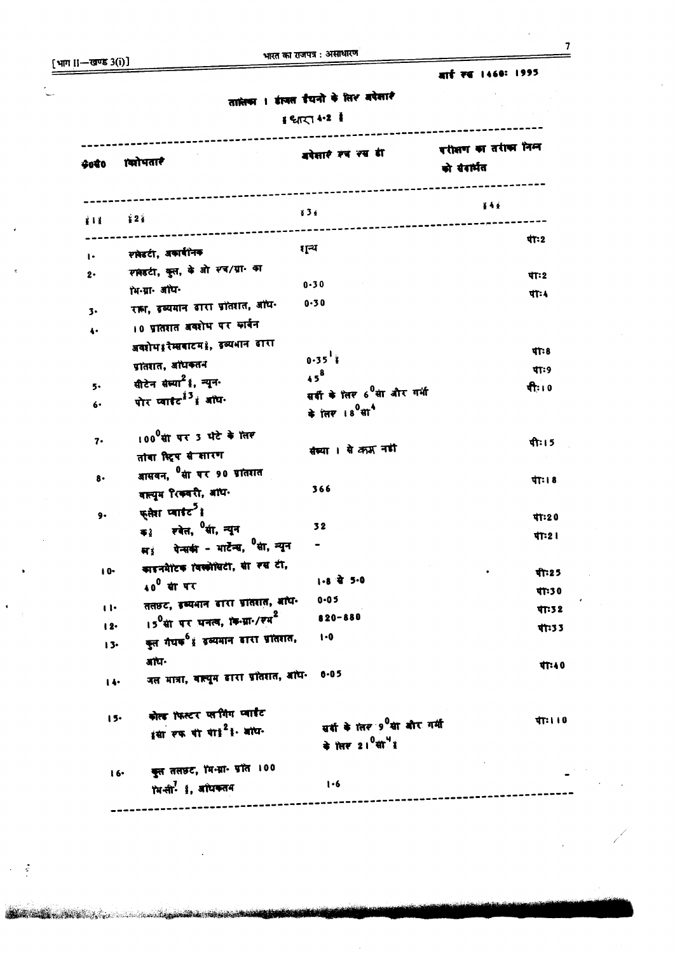[भाग ।।-खण्ड 3(i)]

 $\ddot{\phantom{1}}$ 

 $\epsilon \sim 2$ 

**The contract of the contract of the contract of the contract of the contract of the contract of the contract of** 

 $\overline{7}$ 

|              |                                                              |                                             | बार्ड रख 1460: 1995                 |
|--------------|--------------------------------------------------------------|---------------------------------------------|-------------------------------------|
|              |                                                              | तालेका । इंग्लस ईयनो के लिश बपेसार          |                                     |
|              |                                                              | 1 थारा 4.2                                  |                                     |
| \$080        | <b>क्योपतारे</b>                                             | बपेसारे रूप रूप डी                          | परीप्तण का तरीका निम<br>को संदार्भत |
| 第1卷          | $\frac{1}{2}$ 2 $\frac{1}{4}$                                | 836                                         | ë 4 é                               |
|              | रावेडटी, अकाबीनक                                             | रा्न्य                                      | पी:2                                |
| $\cdot$      | रमेडटी, कुल, के ओ स्व/ग्रा. का                               |                                             |                                     |
| 2.           | ॉभ-ग्रा- ऑध-                                                 | $0 - 30$                                    | पाः2                                |
|              | रान, इव्यमान बारा प्रोतशत, अधि.                              | 0.30                                        | पी:4                                |
| 3.           | 10 प्रांतशत अवशेष पर कार्बन                                  |                                             |                                     |
| 4.           | अवशेष श्रीमाबाटम १, इव्यभान डारा                             |                                             |                                     |
|              | प्रांतशत, अधिकतन                                             | $0.35$ <sup>1</sup>                         | <b>TT: 8</b>                        |
|              | सीटेन संस्या <sup>2</sup> है, न्यून.                         | $45^{8}$                                    | पाः ९                               |
| 5.           | पोर प्वार्थ <sup>13</sup> हं अधि-                            | सर्वी के तिर 6 <sup>0</sup> सा और गर्भ      | पी: । 0                             |
| 6.           |                                                              | के त्लर 18 <sup>0</sup> सा <sup>4</sup>     |                                     |
| 7.           | 100 सां पर 3 घंटे के लिए                                     |                                             | पीः । 5                             |
|              | तांवा स्ट्रिय से सारण                                        | संख्या । से क्रम नही                        |                                     |
| $8 -$        | आसवन, <sup>0</sup> सा पर 90 प्रांतशत                         |                                             |                                     |
|              | वात्यूम रिकवरी, अधि-                                         | 366                                         | पाः । 8                             |
| 9.           | फ् <b>लेश प्वा</b> र्डट <sup>5</sup> है                      |                                             | पी:20                               |
|              | क <sub>डे</sub> रवेत, <sup>0</sup> र्सा, न्यून               | 32                                          |                                     |
|              | पेन्सकी - भार्टेन्स, <sup>0</sup> सी, न्यून<br>सः            |                                             | पा:2।                               |
| $10-$        | काइनमैटिक विस्कोसिटी, सा रस टी,                              |                                             |                                     |
|              | 40 <sup>0</sup> सां पर                                       | 1-8 से 5-0                                  | पी:25                               |
| $\mathbf{u}$ | तलहट, इव्यमान डारा प्रांतरात, मांध-                          | $0 - 05$                                    | पी:30                               |
| $12-$        | 15 <sup>0</sup> सा पर धनत्व, <i>कि-भ्रा-/रम</i> <sup>2</sup> | 820-880                                     | पाः ३ २                             |
| $13-$        | कुल गैथक <sup>6</sup> हं उव्यमान बारा प्रांतशत,              | $1 - 0$                                     | पी:33                               |
|              | ৰাঘ-                                                         |                                             |                                     |
| 14.          | जल मात्रा, बाल्यूम ढारा प्रोतशत, अधि-                        | $0 - 05$                                    | पी:40                               |
| $15-$        | कोल्ड ॉफस्टर प्लगिंग प्वाईट                                  |                                             | पाः । । 0                           |
|              | इसा रफ यो या। 21- अधि-                                       | सर्वा के लिए 9 सा बोर गर्मी                 |                                     |
|              |                                                              | के 'सिंस 21 <sup>0</sup> सी <sup>4</sup> है |                                     |
|              | कुत तलछट, 'मि-ग्रा- प्रांत । 00<br>16.                       |                                             |                                     |
|              | ॉमनी- 1, डांधकतम                                             | 1.6                                         |                                     |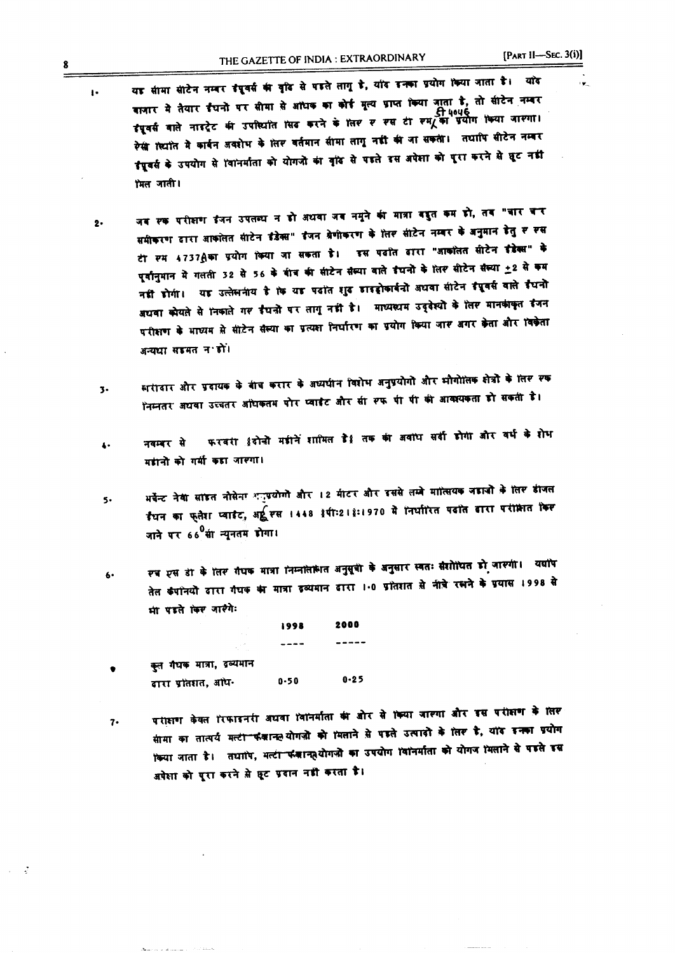$\ddot{\phantom{a}}$ 

- यह सीमा सीटेन नम्बर इंदूवर्स की वृदि से पहले तागू है, याँद इनका प्रयोग किया जाता है। याँद वातार में तैयार ईंधनों पर सीमा से आंधक का कोई मूल्य ग्राप्त किया जाता है, तो सीटेन नम्बर दिपूवर्स वाले नाइट्रेट की उपस्थिति सिंद करने के लिए र रस टी रुम्/ का प्रयोग किया जारगा। रेसी क्योंत में कार्बन अवशेभ के लिए वर्तमान सीमा लागू नहीं की जा सकती। तथापि सीटेन नम्बर इंग्रुवर्स के उपयोग से 'वानर्माता को योगजों का वृंदि से पड़ते इस अपेशा को पूरा करने से घूट नडी मिल जाती।
- जब रुक परीक्षण ईजन उपलब्ध न हो अधवा जब नमूने की मात्रा बहुत कम हो, तब "बार बार  $2 -$ समीकरण दारा आकाेतत सीटेन इंडेक्स" इंजन बेणीकरण के तिर सीटेन नम्बर के अनुमान डेतु र रस टी रूम 4737 ीका प्रयोग किया जा सकता है। इस पढ़ीत ढ़ारा "आकांतत सीटेन इंडेक्स" के पूर्वानुमान में गलती 32 से 56 के बीच की सीटेन सैल्या वाले इंघनों के लिए सीटेन सैल्या +2 से कम नहीं होगी। यह उल्लेसनीय है कि यह पढ़ांत शुद्ध हाइड्रोकार्बनों अधवा सीटेन ईपूवर्स वाले ईंधनो अधवा कोयते से निकाले गर ईंधनो पर तागू नहीं है। माध्यस्थम उद्देश्यों के लिए मानकांकृत इंजन परीक्षण के भाष्यम से सीटेन सैस्या का प्रत्यका निर्घारण का प्रयोग किया जार अगर केता और विकेता अन्यधा सहमत न हो।
- सरीदार और प्रदायक के बीच करार के अध्यपीन विशेष अनुप्रयोगों और भौगोलिक क्षेत्रों के लिए एक  $\overline{3}$ निम्नतर अधवा उच्चतर अधिकतम पोर प्वाईट और सी रूफ पी पी की आवश्यकता हो सकती है।
- फरवरी धरीनों महीनें शामिल हैं तक की अवाध सर्दी होगी और वर्ध के शेध नवम्बर से  $\ddot{\bullet}$ महानों को गर्मी कहा जारगा।
- भर्वेन्ट नेया सांइत नौसेना अनुप्रयोगों और 12 मीटर और इससे लम्बे मालियक जड़ाजों के लिए डीजल  $5.$ इँधन का फ्लैश प्वाइंट, अर्टू स्स 1448 इंपी:21 इं:1970 में निर्धारित पढ़ांत ढारा परीक्षित किस जाने पर 66<sup>0</sup>सा न्यूनतम डोगा।
- रब एस डी के लिर गंधक मात्रा निम्नोतोलेत अनुसूची के अनुसार स्वतः संशोधित डी जारगी। यद्योप  $6 -$ तेत कंपांनयों ढारा गंधक का मात्रा ढब्यमान ढारा 1.0 ग्रांतशत से नीचे रसने के ग्र्यास 1998 से भा पहले किए जारैगे:

1998

2000

कूत गैथक मात्रा, इव्यमान  $0 - 25$  $0 - 50$ दारा प्रांतशत, ओध-

 $\bullet$ 

पराहाण केवल रिफाइनरी अधवा विनिर्माता की ओर से किया जारणा और इस परीक्षण के लिए  $7.$ सामा का तात्पर्य मत्टी फंकानल योगजो को मिलाने से पड़ते उत्पादों के लिए है, यांद इनका प्रयोग किया जाता है। तथापि, मल्टी फंकान्फुयोगज़ों का उपयोग विनिर्माता को योगज मिलाने से पहले इस अपेक्षा को पूरा करने से छूट प्रवान नहीं करता है।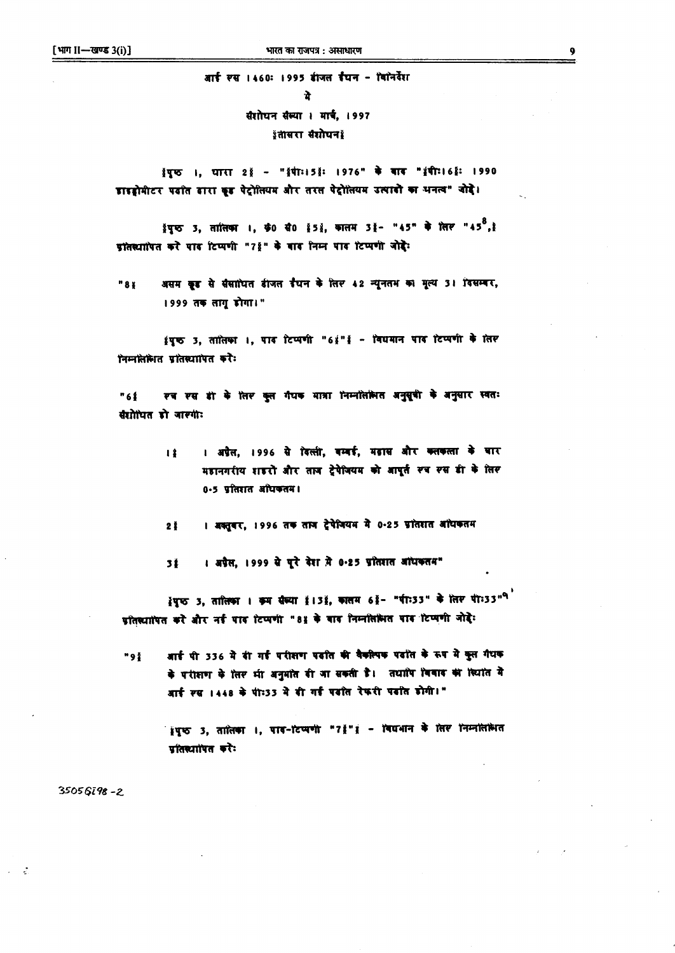# आई स्स 1460: 1995 ईाजल ईंघन - विग्नेर्वेश

संशोधन संस्था । मार्च, 1997 इंतासरा संशोधन हैं

इंपूर्क ।, धारा 2 इं - "इंपी:15 ई: 1976" के बाद "इंपी:16 ई: 1990 डाइड्रोमीटर पढ़ात ढारा इड पेट्रोलियम और तरस पेट्रोलियम उत्पादों का भनत्व" जोड़े।

थ्रॅपुष्ठ 3, तारितका ।, **ऊं0 से0 क्वें 5** थें, कालम 3 हॅ - "45" के लिए "45<sup>8</sup>, है प्रांतस्थापित करे पाद टिप्पणी "78" के बाद निम्न पाद टिप्पणी जोदेः

असम कूड से सैसाधित डीजल डैधन के लिए 42 न्यूनतभ का मूल्य 31 दिसम्बर, "88 1999 तक तागृ डोगा।"

इंपूर्क 3, तातिका ।, पाद टिप्पणी "6 इं" हैं - विद्यमान पाद टिप्पणी के लिए निम्नलिमित प्रतिस्यापित करैः

रव रस डी के लिर कुल गैयक मात्रा निम्नोलेमित अनुसूची के अनुसार स्वतः "61 संशोधित हो जारगी:

> । अप्रैल, 1996 से दिल्ली, बम्बई, मढ़ास और क्लकला के बार  $13$ महानगरीय शहरों और ताब ट्रेपेजियम को आपूर्त स्व स्स ही के लिस 0.5 प्रतिशत अधिकतम।

। अक्तूबर, 1996 तक ताज ट्रेषेजियम में 0.25 ग्रांतशत आंधकतम  $2<sub>1</sub>$ 

। अप्रैस, 1999 से पूरे देश में 0-25 प्रतिशत आंधकतम" 31

हेपूरु 3, तालिका । क्रम सेल्या है। 3है, कालम 6हैं- "पी: 33" के लिए पी: 33"<sup>9</sup> प्रतिश्यापित करें और नई पाद टिप्पणी "81 के बाद निम्नलिलित पाद टिप्पणी जोड़े:

आई पी 336 में दी गई परीक्षण पढ़ाति की वैकरिपक पढ़ाते के रूप में कुल गैधक "91 के परीक्षण के लिए भी अनुमात दी जा सकती है। तथापि विवाद की स्थिति मे आर्ट स्स 1448 के पी:33 में दी गर्द पढ़ात रेफरी पढ़ात होगी।"

> श्रृष्ठ 3, तातिका ।, पाव-टिप्पणी "7 !" । - विद्यभान के लिए निम्नलिरूपत प्रतिस्थापित करे:

 $35056798 - 2$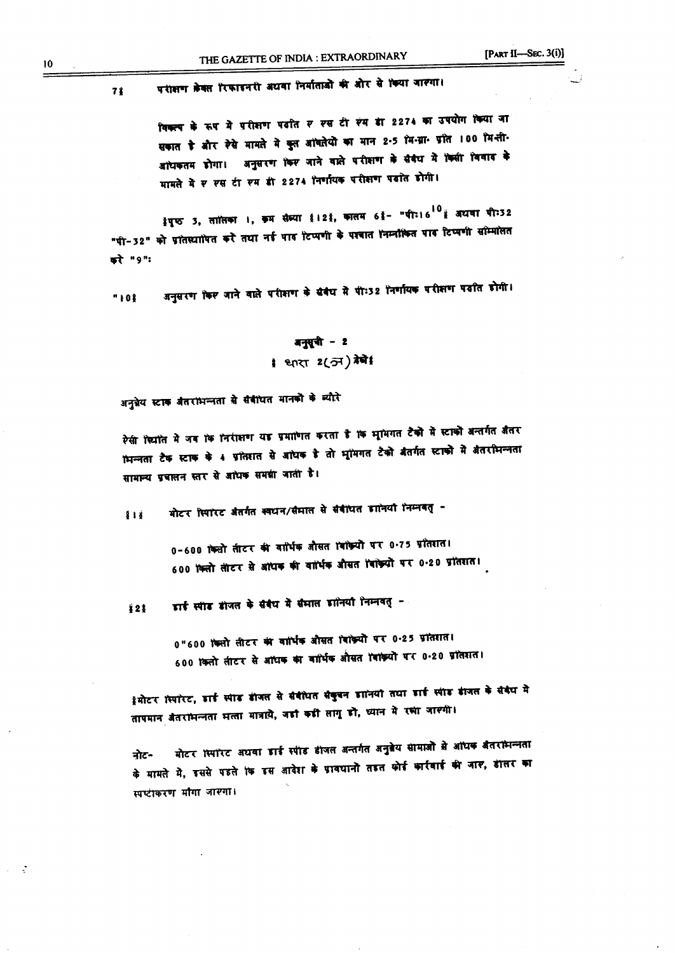#### पराक्षण केवल रिफाइनरी अथवा निर्माताओं की ओर से किया जास्था।  $71$

विकल्प के रूप में परीशण पदति र रस टी रंग डी 2274 का उपयोग किया जा सकात है और रैसे मामते में कुत आंबतेयों का मान 2.5 मि.ग्रा. प्रांत 100 मि.ली. अधिकतम डोगा। अनुसरण किए जाने वाले परीक्षण के सैवैध में किसी विवाद के मामले में र रस टी रम डी 2274 निर्णायक परीक्षण पढाेत डोगी।

ईपूष्ठ 3, तातिका ।, क्रम सैम्या ई।2ई, कालम 6ई- "पीः।6<sup>10</sup>ई अधया पीः32 "पी-32" को प्रांतस्यापित करें तथा नई पाद टिप्पणी के पश्चात निम्नोंकित पाद टिप्पणी सोम्मोलत करे "१":

अनुसरण किए जाने वाले परीक्षण के संबंध में पी:32 निर्णायक परीक्षण पदांत डोगी। "108

# बनुसूची - 2 1 थारा 2(अ) ग्रेबे

अनुन्नेय स्टाक अंतरांभन्नता से संबीधत मानको के ब्यौरे

रेसी स्थांत में जब कि निरीक्षण यह प्रमाणित करता है कि भूमिगत टैकों में स्टाकों अन्तर्गत जैतर भिन्नता टैक स्टाक के 4 प्रोतशत से आंधक है तो भूमिगत टैको बैतर्गत स्टाको में बैतरभिन्नता सामान्य प्रबालन स्तर से आंधक समझी जाती है।

गोटर स्मिरेस्ट जैतर्गत क्वघन/सैमाल से सैबीघत डानिया निम्नबत् - $818$ 

> 0-600 किसी तीटर की वार्धिक औसत विक्रियों पर 0.75 प्रतिशत। 600 किलो लीटर से अधिक की वार्धिक औसत विक्रियों पर 0.20 प्रतिशत।

डाई स्पीड डीजल के संबंध में संभाल डानियां निम्नवत् *i* 2 8

> 0"600 किसी सीटर की बार्मिक औसत विक्रियों पर 0.25 प्रतिशत। 600 किलो लीटर से अधिक का वार्धिक औसत विक्रियों पर 0.20 प्रतिशत।

्रेमोटर स्पॉरट, डार्ड स्पांड डीजल से सैबीयत संकुबन डानियां तथा डार्ड स्पांड डांजल के संबंध मे तापमान अंतरांभन्नता भन्ता मात्राये, जड़ां कड़ी लागू डो, ध्यान मे रसा जारगी।

मोटर स्पारेट अथवा डाई स्पीड डीजल अन्तर्गत अनुब्रेय सामाजो से आंधक अंतरांभन्नता नोट-के मामले में, इससे पहले कि इस आदेश के ग्रावधानों तहत कोई कार्रवाई की जार, डीलर का स्वष्टीकरण मौगा जास्मा।

 $10$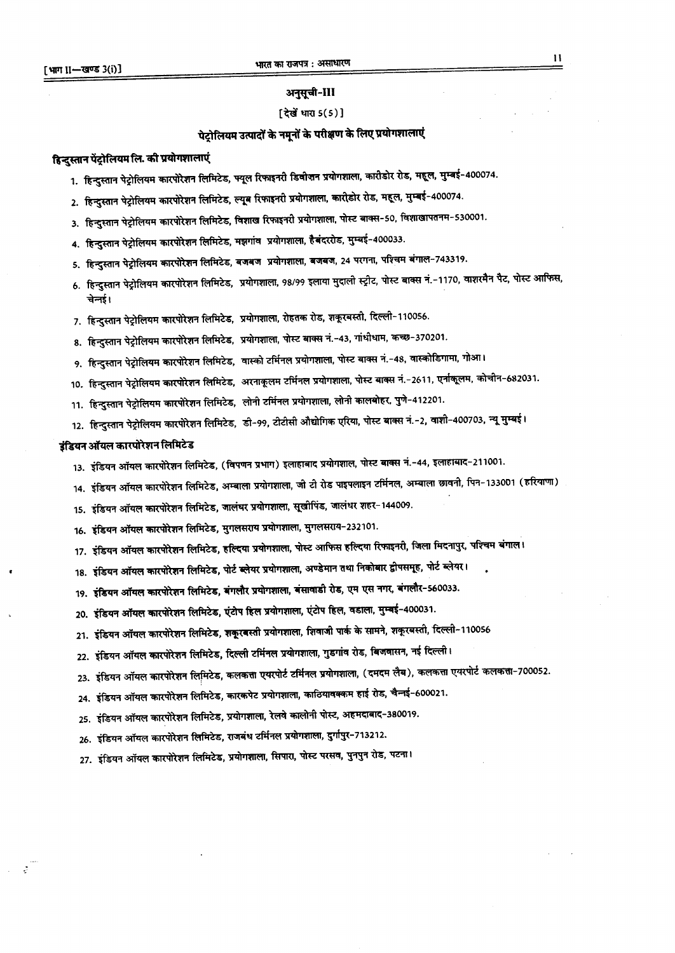#### अनुसूची-III

#### [ देखें धारा 5(5)]

# पेट्रोलियम उत्पादों के नमूनों के परीक्षण के लिए प्रयोगशालाएं

#### हिन्दुस्तान पेंट्रोलियम लि. की प्रयोगशालाएं

- 1. हिन्दुस्तान पेट्रोलियम कारपोरेशन लिमिटेड, फ्यूल रिफाइनरी डिवोजन प्रयोगशाला, कारीडोर रोड, महूल, मुम्बई-400074.
- 2. हिन्दुस्तान पेट्रोलियम कारपोरेशन लिमिटेड, ल्यूब रिफाइनरी प्रयोगशाला, कारीडोर रोड, महूल, मुम्बई-400074.
- 3. हिन्दुस्तान पेट्रोलियम कारपोरेशन लिमिटेड, विशाख रिफाइनरी प्रयोगशाला, पोस्ट बाक्स-50, विशाखापतनम-530001.
- 4. हिन्दुस्तान पेट्रोलियम कारपोरेशन लिमिटेड, मझगांव प्रयोगशाला, हैबंदररोड, मुम्बई-400033.
- 5. हिन्दुस्तान पेट्रोलियम कारपोरेशन लिमिटेड, बजबज प्रयोगशाला, बजबज, 24 परगना, पश्चिम बंगाल-743319.
- 6. हिन्दुस्तान पेट्रोलियम कारपोरेशन लिमिटेड, प्रयोगशाला, 98/99 इलाया मुदाली स्ट्रीट, पोस्ट बाक्स नं.-1170, वाशरमैन पैट, पोस्ट आफिस, चेनई।
- 7. हिन्दुस्तान पेट्रोलियम कारपोरेशन लिमिटेड, प्रयोगशाला, रोहतक रोड, शकूरबस्ती, दिल्ली-110056.
- 8. हिन्दुस्तान पेट्रोलियम कारपोरेशन लिमिटेड, प्रयोगशाला, पोस्ट बाक्स नं.-43, गांधीधाम, कच्छ-370201.
- 9. हिन्दुस्तान पेट्रोलियम कारपोरेशन लिमिटेड, वास्को टर्मिनल प्रयोगशाला, पोस्ट बाक्स नं.-48, वास्कोडिगामा, गोआ।
- 10. हिन्दुस्तान पेट्रोलियम कारपोरेशन लिमिटेड, अरनाकूलम टर्मिनल प्रयोगशाला, पोस्ट बाक्स नं.-2611, एर्नाकूलम, कोचीन-682031.
- 11. हिन्दुस्तान पेट्रोलियम कारपोरेशन लिमिटेड, लोनी टर्मिनल प्रयोगशाला, लोनी कालबोहर, पुणे-412201.
- 12. हिन्दुस्तान पेट्रोलियम कारपोरेशन लिमिटेड, डी-99, टीटीसी औद्योगिक एरिया, पोस्ट बाक्स नं.−2, वाशी−400703, न्यू मुम्बई।

#### इंडियन ऑयल कारपोरेशन लिमिटेड

 $\omega = 2$ 

- 13. इंडियन ऑयल कारपोरेशन लिमिटेड, (विपणन प्रभाग) इलाहाबाद प्रयोगशाल, पोस्ट बाक्स नं.-44, इलाहाबाद-211001.
- 14. इंडियन ऑयल कारपोरेशन लिमिटेड, अम्बाला प्रयोगशाला, जी टी रोड पाइपलाइन टर्मिनल, अम्बाला छावनी, पिन-133001 (ह
- 15. इंडियन ऑयल कारपोरेशन लिमिटेड, जालंघर प्रयोगशाला, सूखीपिंड, जालंधर शहर-144009.
- 16. इंडियन ऑयल कारपोरेशन लिमिटेड, मुगलसराय प्रयोगशाला, मुगलसराय-232101.
- 17. इंडियन ऑयल कारपोरेशन लिमिटेड, हल्दिया प्रयोगशाला, पोस्ट आफिस हल्दिया रिफाइनरी, जिला मिदनापुर, पश्चिम बंगाल।
- 18. इंडियन ऑयल कारपोरेशन लिमिटेड, पोर्ट ब्लेयर प्रयोगशाला, अण्डेमान तथा निकोबार द्वीपसमूह, पोर्ट ब्लेयर।
- 19. इंडियन ऑयल कारपोरेशन लिमिटेड, बंगलौर प्रयोगशाला, बंसावाडी रोड, एम एस नगर, बंगलौर-560033.
- 20. इंडियन ऑयल कारपोरेशन लिमिटेड, एंटोप हिल प्रयोगशाला, एंटोप हिल, वडाला, मुम्बई-400031.
- 21. इंडियन ऑयल कारपोरेशन लिमिटेड, शकूरबस्ती प्रयोगशाला, शिवाजी पार्क के सामने, शकूरबस्ती, दिल्ली-110056
- 22. इंडियन ऑयल कारपोरेशन लिमिटेड, दिल्ली टर्मिनल प्रयोगशाला, गुडगांव रोड, बिजवासन, नई दिल्ली।
- 23. इंडियन ऑयल कारपोरेशन लिमिटेड, कलकत्ता एयरपोर्ट टर्मिनल प्रयोगशाला, (दमदम लैब), कलकत्ता एयरपोर्ट कलकत्ता-700052.
- 24. इंडियन ऑयल कारपोरेशन लिमिटेड, कारकपेट प्रयोगशाला, काठियावक्कम हाई रोड, चैन्नई-600021.
- 25. इंडियन ऑयल कारपोरेशन लिमिटेड, प्रयोगशाला, रेलवे कालोनी पोस्ट, अहमदाबाद-380019.
- 26. इंडियन ऑयल कारपोरेशन लिमिटेड, राजबंध टर्मिनल प्रयोगशाला, दुर्गापुर-713212.
- 27. इंडियन ऑयल कारपोरेशन लिमिटेड, प्रयोगशाला, सिपारा, पोस्ट परसव, पुनपुन रोड, पटना।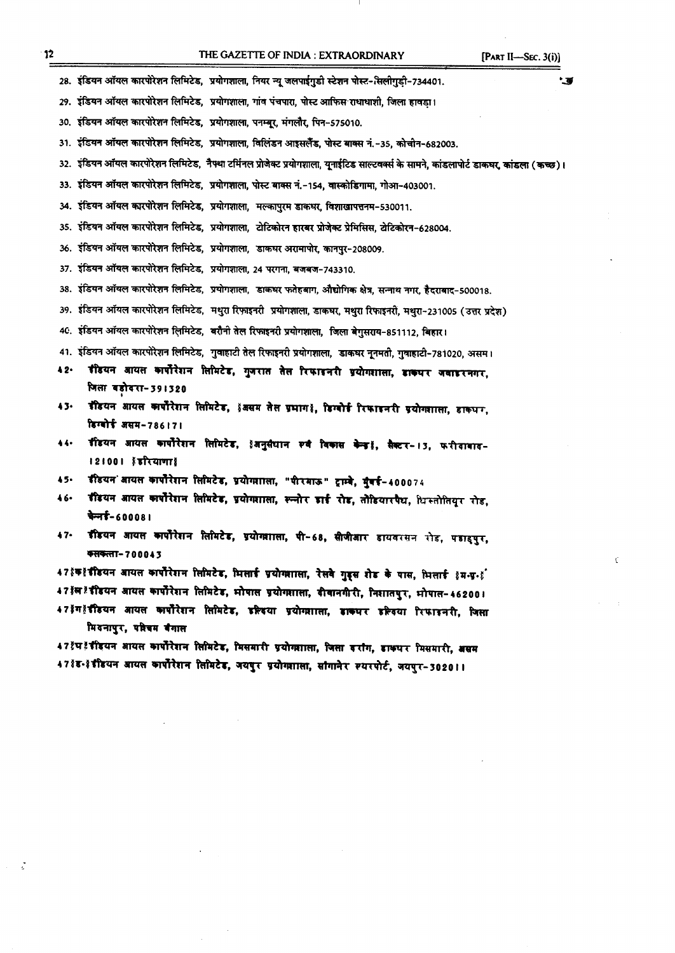- 28. इंडियन ऑयल कारपोरेशन लिमिटेड, प्रयोगशाला, नियर न्यू जलपाईगुडी स्टेशन पोस्ट-*सिलीगुडी-734401.*
- 29. इंडियन ऑयल कारपोरेशन लिमिटेड, प्रयोगशाला, गांव पंचपारा, पोस्ट आफिस राधाधाशी, जिला हावड़ा।
- 30. इंडियन ऑयल कारपोरेशन लिमिटेड, प्रयोगशाला, पनम्बूर, मंगलौर, पिन-575010.
- 31. इंडियन ऑयल कारपोरेशन लिमिटेड, प्रयोगशाला, विलिंडन आइसलैंड, पोस्ट बाक्स नं.-35, कोचीन-682003.
- 32. इंडियन ऑयल कारपोरेशन लिमिटेड, नैफ्था टर्मिनल प्रोजेक्ट प्रयोगशाला, यूनाईटिड साल्टवर्क्स के सामने, कांडलापोर्ट डाकघर, कांडला (कच्छ)।
- 33. इंडियन ऑयल कारपोरेशन लिमिटेड, प्रयोगशाला, पोस्ट बाक्स नं.-154, वास्कोडिगामा, गोआ-403001.
- 34. इंडियन ऑयल कारपोरेशन लिमिटेड, प्रयोगशाला, मल्कापुरम डाकघर, विशाखापत्तनम-530011.
- 35. इंडियन ऑयल कारपोरेशन लिमिटेड, प्रयोगशाला, टोटिकोरन हारबर प्रोजेक्ट प्रेमिसिस, टोटिकोरन-628004.
- 36. इंडियन ऑयल कारपोरेशन लिमिटेड, प्रयोगशाला, डाकघर अरामापोर, कानपुर-208009.
- 37. इंडियन ऑयल कारपोरेशन लिमिटेड, प्रयोगशाला, 24 परगना, बजबज-743310.
- 38. इंडियन ऑयल कारपोरेशन लिमिटेड, प्रयोगशाला, डाकघर फतेहबाग, औद्योगिक क्षेत्र, सन्नाथ नगर, हैदराबाद-500018.
- 39. इंडियन ऑयल कारपोरेशन लिमिटेड, मथुरा रिफ़ाइनरी प्रयोगशाला, डाकघर, मथुरा रिफाइनरी, मथुरा-231005 (उत्तर प्रदेश)
- 4C. इंडियन ऑयल कारपोरेशन लिमिटेड, बरौनी तेल रिफाइनरी प्रयोगशाला, जिला बेगुसराय-851112, बिहार।
- 41. इंडियन ऑयल कारपोरेशन लिमिटेड, गुवाहाटी तेल रिफाइनरी प्रयोगशाला, डाकघर नृनमती, गुवाहाटी-781020, असम।
- 42. डीडयन आयल कार्पोरेशन लिमिटेड, गुजरात तेल रिफाइनरी प्रयोगशाला, डाकपर जवाइरनगर, जिला बड़ोदरा−्
- 43. इंडियन आयल कार्पोरेशन लिमिटेड, इंजसम तेल प्रभाग !, डिग्बोई रिफाइनरी प्रयोगशाला, डाक्धर, **हिग्बोर्ड** असम-786 । 7 ।
- 44. र्डीडयन आयल कार्पोरेशन लिमिटेड, इंअनुसंधान रुवं विकास केन्द्रह, सैक्टर-13, फरीदाबाद-**121001 हंडरियाणा**
- 45. इंडियन आयत कार्पोरेशन तिमिटेड, प्रयोगशाला, "पीरमाऊ" ट्राम्बे, मुंबई-400074
- 46. ग्रीडयन आयत कार्पोरेशन तिमिटेड, प्रयोगशाला, रूलोर डाई रोड, तोडियारपैथ, धिस्तोतियूर रोड, चेन्नई-60008।
- 47. ग्रीडयन आयस कार्योरेशन लिमिटेड, प्रयोगशाला, पी-68, सीजीआर डायवरसन रोड, पडाइपुर, ~-70004J

47 इंकहें इंडियन आयल कार्पोरेशन लिमिटेड, भिलाई प्रयोगशाला, रेलवे गुड्स शेड के पास, भिलाई हम-प्र-हूं 47]'म ! इंडियन आयल कार्पोरेशन लिमिटेड, भोषाल प्रयोगशाला, दीवानगीरी, निशातपुर, भोपाल-462001 47}ग! रीडयन आयत कार्पोरेशन तिमिटेड, इल्लिया प्रयोग्शाला, डारूपर इल्लिया रिफाइनरी, जिसा

मियनापुर, परिचम बैगाल

47 थेप टें हैंदियन आयस कार्पोरेशन सिमिटेड, मिसमारी प्रयोगशाला, जिला बरांग, डाक्यर मिसमारी, असम 47 हैंड-हेर्दीडयन आयल कार्पोरेशन लिमिटेड, जयपुर प्रयोगशाला, सांगानेर स्यरपोर्ट, जयपुर-3020 ।।

¢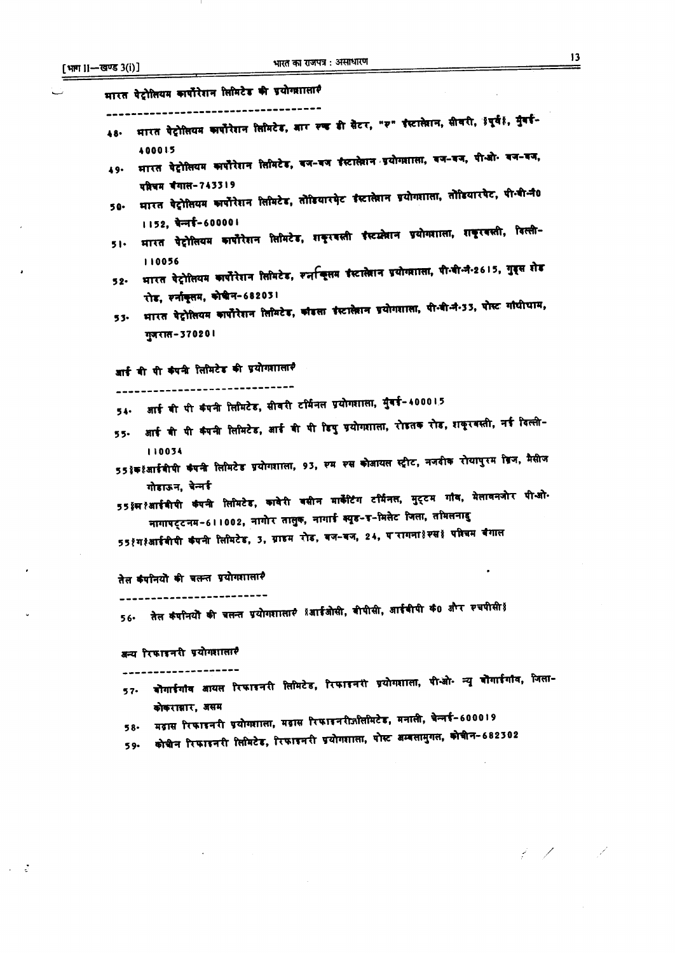$\bar{\mathcal{A}}$ 

 $\bullet$ 

 $\epsilon$ 

 $\frac{1}{2}$  ,  $\frac{3}{2}$ 

- 1

| –खण्ड ३(१) ।                                                                                                                                            |
|---------------------------------------------------------------------------------------------------------------------------------------------------------|
| भारत पेट्रोलियम कार्पोरेशन लिमिटेड की प्रयोगशालार                                                                                                       |
| भारत पेट्रोलियम कार्पोरेशन लिमिटेड, बार रुख डी सेटर, "रु" इंस्टालेशन, सीवरी, इंपूर्वह, मुंबई-<br>48.                                                    |
| 400015<br>मारत पेट्रोलियम कार्पोरेशन लिमिटेड, वज-वज ईस्टालेशन प्रयोगशाला, वज-वज, पी-ओ- वज-वज,<br>49.                                                    |
| परिचम बैगाल-743319<br>भारत पेट्रोसियम कार्पोरेशन सिमिटेड, तोडियारमेट ईस्टालेशन प्रयोगशासा, तोडियारपेट, पी.बी.नै0<br>50.                                 |
| 1152, पेन्नई-600001<br>भारत पेट्रोलियम कार्पोरेशन लिमिटेड, शकूरवस्ती ईस्टक्र्लेशन प्रयोगशाला, शकूरवस्ती, विल्ली-<br>51.                                 |
| 110056<br>भारत पेट्रोलियम कार्पोरेशन लिमिटेड, स्नच्हितम इंस्टालेशन प्रयोगशाला, पी.वी.नी.2615, गुड्स शेड<br>52.                                          |
| रोड, स्नांकूसम, कोश्रीन-68203।<br>भारत पेट्रोसियम कार्पोरेशन लिमिटेड, कौडला इंस्टालेशन प्रयोगशाला, पी.वी.नं.33, पोस्ट गांधीधाम,<br>53.<br>गुजरात-370201 |
| आई वी पी कंपनी लिमिटेड की प्रयोगशालार                                                                                                                   |
| 54. आई वी पी कंपनी लिमिटेड, सीवरी टर्मिनल प्रयोगशाला, मुंबई-400015                                                                                      |
| आई वी पी कंपनी लिमिटेड, आई वी पी डिपु प्रयोगशाला, रोडतक रोड, शकूरवस्ती, नई दिल्ली-<br>55.                                                               |
| 110034<br>55 इंक् ईआईबीपी कंपनी लिमिटेड प्रयोगशाला, 93, स्म स्स कोआयल स्ट्रीट, नजदीक रोयापुरम डिज, मैसीज                                                |
| गोडाऊन, चेन्नई<br>55 ≬स १ँ आईबीपी कंपनी लिमिटेड, कावेरी वसीन मार्केटिंग टर्मिनल, मुट्टम गांव, मेलावनजोर पी-ओ-                                           |
| मागापट्टनम∽6 । । 002, नागोर तालुक, नागाई क्यूड-इ−मिलेट जिला, तमिलनाडु                                                                                   |
| 55१ग१आईबीपी कंपनी लिमिटेड, 3, ग्राहम रोड, बज-बज, 24, परागना}स्स} परिचम बैगाल                                                                            |
| तेल कंपनियों की चलन्त प्रयोगशालार                                                                                                                       |
| तेल कंपनियोे की चलन्त प्रयोगशालार्? ४आईओसी, वीपीसी, आईवीपी कं0 और स्चपीसी ४<br>56∙                                                                      |
| अन्य रिफाइनरी प्रयोगशालार                                                                                                                               |
| वोगाईगांव आयस रिफाइनरी सिमिटेड, रिफाइनरी प्रयोगशाला, पी-ओ- न्यू वोगाईगांव, जिला-<br>$57-$                                                               |
| कोकराबार, असम<br>मढास रिफाइनरी प्रयोगशाला, मढास रिफाइनरीजीलमिटेड, मनाली, चेन्नई-600019                                                                  |
| 58.<br>कोचीन रिफाइनरी लिमिटेड, रिफाइनरी प्रयोगशाला, पोस्ट अम्बलामुगल, कोचीन-682302<br>59.                                                               |
|                                                                                                                                                         |

 $\label{eq:2} \frac{1}{2}\sum_{i=1}^n\frac{1}{2}\sum_{j=1}^n\frac{1}{2}\sum_{j=1}^n\frac{1}{2}\sum_{j=1}^n\frac{1}{2}\sum_{j=1}^n\frac{1}{2}\sum_{j=1}^n\frac{1}{2}\sum_{j=1}^n\frac{1}{2}\sum_{j=1}^n\frac{1}{2}\sum_{j=1}^n\frac{1}{2}\sum_{j=1}^n\frac{1}{2}\sum_{j=1}^n\frac{1}{2}\sum_{j=1}^n\frac{1}{2}\sum_{j=1}^n\frac{1}{2}\sum_{j=1}^n\frac{$ 

 $\label{eq:Ricci} \mathcal{L}(Z) = Z$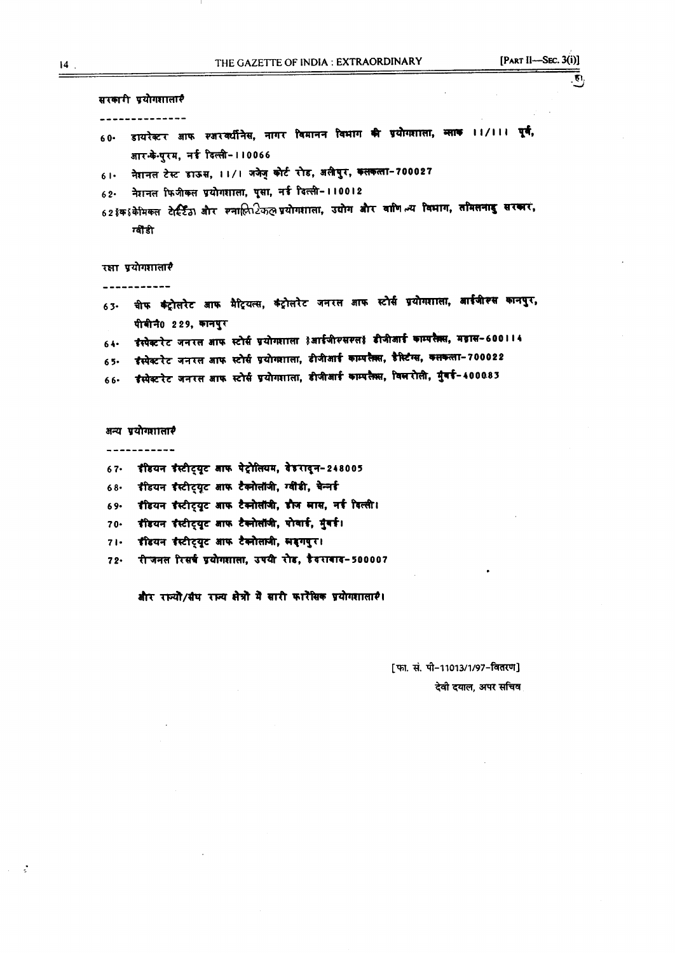$\overline{\mathbf{v}}$ 

सरकारी प्रयोगशालार **--------------** 60- डायरेक्टर आफ *र*अरक्यीनेस, नागर विमानन विभाग की प्रयोगशाला, ब्लाक ।।/।।। पूर्व आर. के.पुरम, नई दिल्ली- 110066 61. नेशनल टेस्ट डाऊस, 11/1 जजेजू कोर्ट रोड, अलीपुर, कलकला-700027  $62.$  नेशनल फिजीकल प्रयोगशाला, पूसा, नई दिल्ली-110012 62 हक हं केमिकल टेर्स्टिंठ) और स्नालिर्िकल प्रयोगशाला, उद्योग और वाणि ल्य विभाग, तमिलनाडु सरकार, ग्वीडी रक्षा प्रयोगशालारै **-----------** 63. वीफ कंट्रोलरेट आफ मैट्रियत्स, कंट्रोलरेट जनरल आफ स्टोर्स प्रयोगशाला, आईजीरूस कानपुर, पीबीनै0 229, कानपुर  $64.$  ईस्पेक्टरेट जनरल आफ स्टोर्स प्रयोगशाला हैआईजीरसरलह डीजीआई काम्परैक्स, मढ़ास-600114 65. इंस्पेक्टरेट जनरल आफ स्टोर्स प्रयोगशाला, डीजीआई काम्पलैक्स, डैस्टिंग्स, कलकत्ता-700022 66. इंस्पेक्टरेट जनरल आफ स्टोर्स प्रयोगशाला, डीजीआई काम्पलैक्स, विलरोली, मुंबई-400083 अन्य प्रयोगशालार **-----------**  $67.$  इंडियन इंस्टीट्यूट आफ पेट्रोलियम, वेडरादून-248005 68. इंडियन इंस्टीट्यूट आफ टैक्नोलॉजी, ग्वीडी, चेन्नई 69. हीडयन हैस्टीट्यूट आफ टैक्नोलॉजी, हौज सास, नई दिल्ली। 70. इंडियन इंस्टीट्यूट आफ टैक्नोलॉजी, पोवाई, मुंबई। 71. इंडियन इंस्टीट्यूट आफ टैक्नोलानी, सड़गगुर। 72. रीजनल रिसर्च प्रयोगशाला, उपयी रोड, हैदराबाद-500007

और राज्यो/संघ राज्य सेत्रों में सारी कारोंसिक प्रयोगशालाएं।

[फा. सं. पी-11013/1/97-वितरण] देवी दयाल. अपर सचिव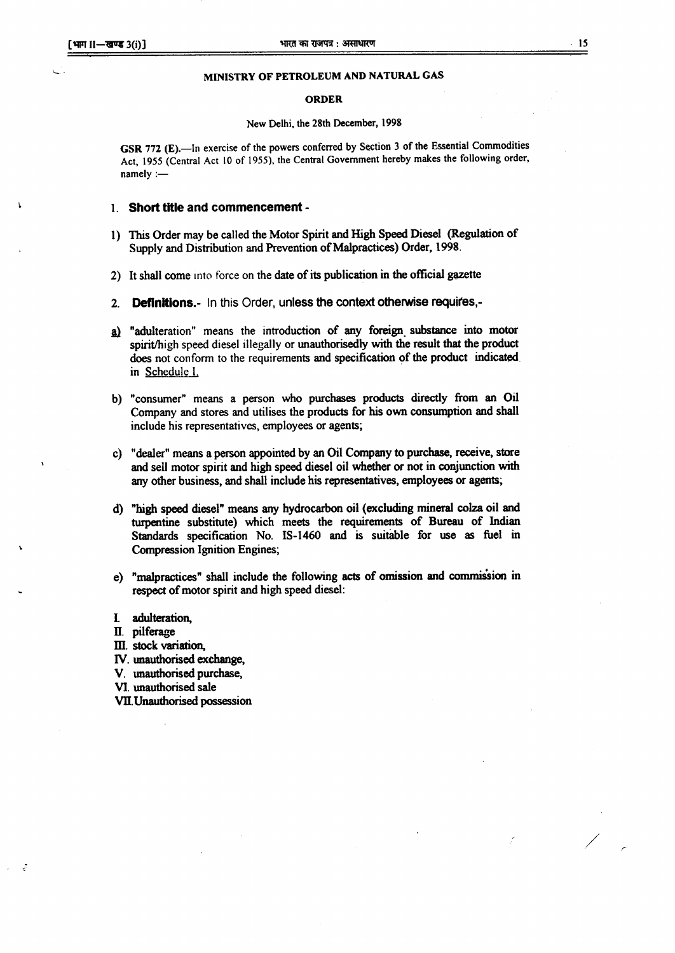#### MINISTRY OF PETROLEUM AND NATURAL GAS

#### ORDER

#### New Delhi, the 28th December, 1998

GSR 772 (E).-In exercise of the powers conferred by Section 3 of the Essential Commodities Act, 1955 (Central Act 10 of 1955), the Central Government hereby makes the following order,  $namely :=$ 

#### 1. Short title and commencement -

- 1) This Order may be called the Motor Spirit and High Speed Diesel (Regulation of Supply and Distribution and Prevention of Malpractices) Order, 1998.
- 2) It shall come into force on the date of its publication in the official gazette
- 2. **Definitions.** In this Order, unless the context otherwise requires,-
- a) "adulteration" means the introduction of any foreign substance into motor spirit/high speed diesel illegally or unauthorisedly with the result that the product does not conform to the requirements and specification of the product indicated. in Schedule L
- b) "consumer" means a person who purchases products directly from an Oil Company and stores and utilises the products for his own consumption and shall include his representatives, employees or agents;
- c) "dealer" means a person appointed by an Oil Company to purchase, receive, store and sell motor spirit and high speed diesel oil whether or not in conjunction with any other business, and shall include his representatives, employees or agents;
- d) "high speed diesel" means any hydrocarbon oil (excluding mineral colza oil and turpentine substitute) which meets the requirements of Bureau of Indian Standards specification No. IS-1460 and is suitable for use as fuel in Compression Ignition Engines;
- e) "malpractices" shall include the following acts of omission and commission in respect of motor spirit and high speed diesel:
- l adulteration,
- II. pilferage
- III. stock variation,
- IV. unauthorised exchange,
- v. unauthorised purchase,
- VI. unauthorised sale
- VII.Unauthorised possession

/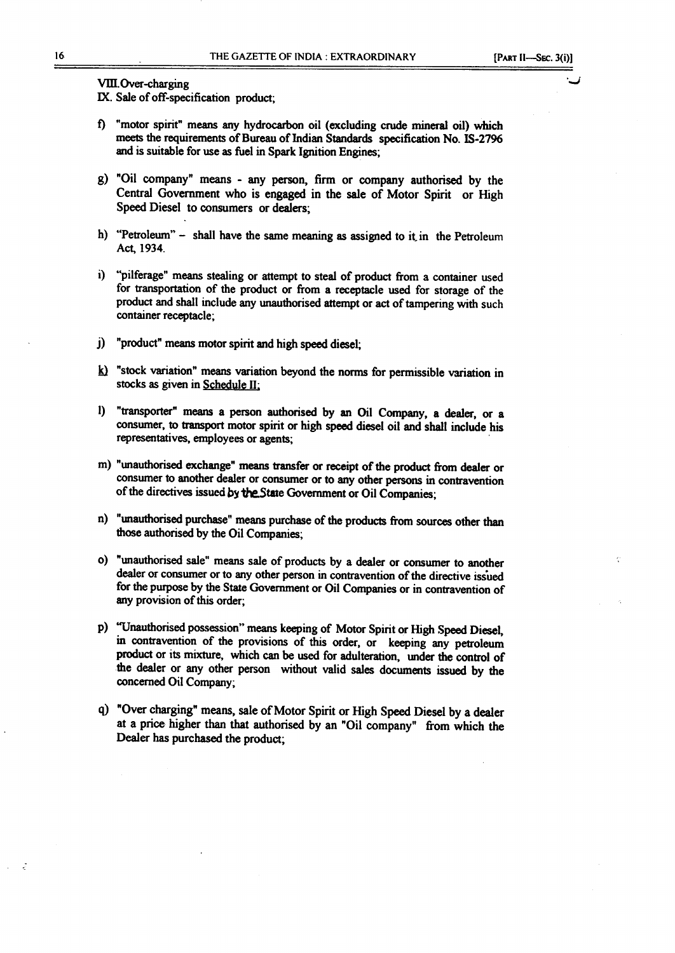*. J*

VIII.Over-charging

IX. Sale of off-specification product;

- t) "motor spirit" means any hydrocarbon oil (excluding crude mineral oil) which meets the requirements of Bureau of Indian Standards specification No. IS-2796 and is suitable for use as fuel in Spark Ignition Engines;
- g) "Oil company" means any person, firm or company authorised by the Central Government who is engaged in the sale of Motor Spirit or High Speed Diesel to consumers or dealers;
- h) "Petroleum" shall have the same meaning as assigned to it in the Petroleum Act. 1934.
- i) "pilferage" means stealing or attempt to steal of product from a container used for transportation of the product or from a receptacle used for storage of the product and shall include any unauthorised attempt or act of tampering with such container receptacle;
- j) "product" means motor spirit and high speed diesel;
- $k$ ) "stock variation" means variation beyond the norms for permissible variation in stocks as given in Schedule II:
- 1) "transporter" means a person authorised by an Oil Company, a dealer, or a consumer, to transport motor spirit or high speed diesel oil and shall include his representatives, employees or agents; .
- m) "unauthorised exchange" means transfer or receipt of the product from dealer or consumer to another dealer or consumer or to any other persons in contravention of the directives issued by the State Government or Oil Companies;
- n) "unauthorised purchase" means purchase of the products from sources other than those authorised by the Oil Companies;
- 0) "unauthorised sale" means sale of products by a dealer or consumer to another dealer or consumer or to any other person in contravention of the directive issued for the purpose by the State Government or Oil Companies or in contravention of any provision of this order;
- p) "Unauthorised possession" means keeping of Motor Spirit or High Speed Diesel, in contravention of the provisions of this order, or keeping any petroleum product or its mixture, which can be used for adulteration, under the control of the dealer or any other person without valid sales documents issued by the concerned Oil Company;
- q) "Over charging" means, sale of Motor Spirit or High Speed Diesel by a dealer at a price higher than that authorised by an "Oil company" from which the Dealer has purchased the product;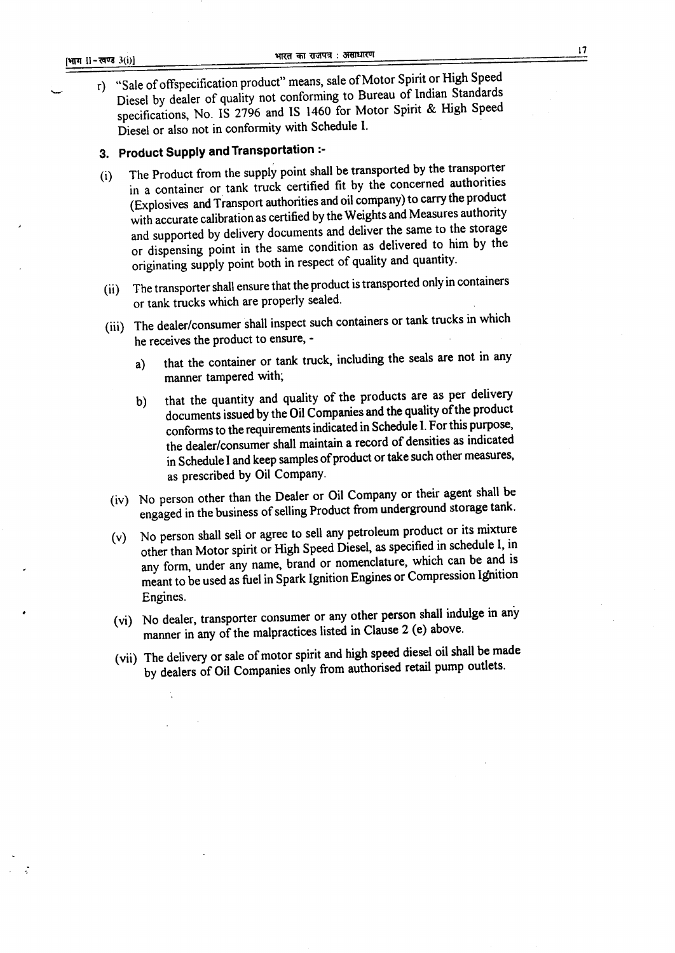r) "Sale of otfspecification product" means, sale of Motor Spirit or High Speed Diesel by dealer of quality not conforming to Bureau of Indian Standards specifications, No. IS 2796 and IS 1460 for Motor Spirit & High Speed Diesel or also not in conformity with Schedule I.

# 3. **Product Supply and Transportation** :-

- (i) The Product from the supply point shall be transported by the transporter in a container or tank truck certified fit by the concerned authorities (Explosives and Transport authorities and oil company) to carry the product with accurate calibration as certified by the Weights and Measures authority and supported by delivery documents and deliver the same to the storage or dispensing point in the same condition as delivered to him by the originating supply point both in respect of quality and quantity.
- (ii) The transporter shall ensure that the product istransported only in containers or tank trucks which are properly sealed.
- (iii) The dealer/consumer shall inspect such containers or tank trucks in which he receives the product to ensure,
	- a) that the container or tank truck, including the seals are not in any manner tampered with;
	- b) that the quantity and quality of the products are as per delivery documents issued by the Oil Companies and the quality of the product confonns to the requirements indicated in Schedule 1.For this purpose, the dealer/consumer shall maintain a record of densities as indicated in Schedule I and keep samples of product or take such other measures, as prescribed by Oil Company.
	- (iv) No person other than the Dealer or Oil Company or their agent shall be engaged in the business of selling Product from underground storage tank.
	- (v) No person shall sell or agree to sell any petroleum product or its mixture other than Motor spirit or High Speed Diesel, as specified in schedule 1, in any form, under any name, brand or nomenclature, which can be and is meant to be used as fuel in Spark Ignition Engines or Compression Ignition Engines.
	- (vi) No dealer, transporter consumer or any other person shall indulge in any manner in any of the malpractices listed in Clause 2 (e) above.
	- (vii) The delivery or sale of motor spirit and high speed diesel oil shall be made by dealers of Oil Companies only from authorised retail pump outlets.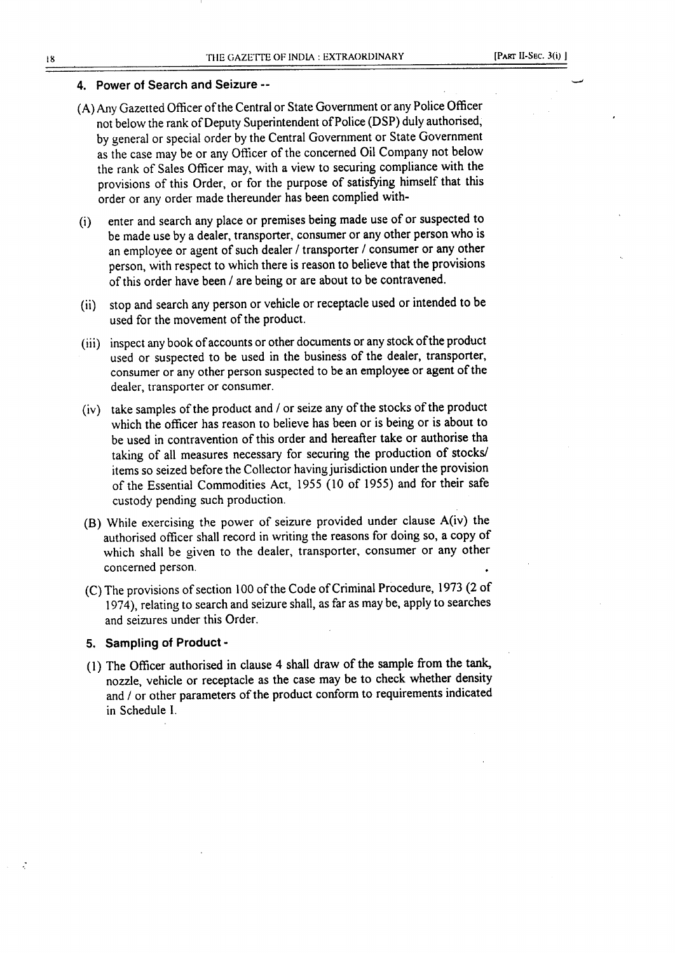#### 4. Power of Search and Seizure --

- (A) Any Gazetted Officer of the Central or State Government or any Police Officer not below the rank of Deputy Superintendent of Police (DSP) duly authorised, by general or special order by the Central Government or State Government as the case may be or any Officer of the concerned Oil Company not below the rank of Sales Officer may, with a view to securing compliance with the provisions of this Order, or for the purpose of satisfying himself that this order or any order made thereunder has been complied with-
- (i) enter and search any place or premises being made use of or suspected to be made use by a dealer, transporter, consumer or any other person who is an employee or agent of such dealer / transporter / consumer or any other person, with respect to which there is reason to believe that the provisions of this order have been / are being or are about to be contravened.
- (ii) stop and search any person or vehicle or receptacle used or intended to be used for the movement of the product.
- (iii) inspect any book of accounts or other documents or any stock of the product used or suspected to be used in the business of the dealer, transporter, consumer or any other person suspected to be an employee or agent of the dealer, transporter or consumer.
- (iv) take samples of the product and / or seize any of the stocks of the product which the officer has reason to believe has been or is being or is about to be used in contravention of this order and hereafter take or authorise tha taking of all measures necessary for securing the production of stocks/ items so seized before the Collector having jurisdiction under the provision of the Essential Commodities Act, 1955 (10 of 1955) and for their safe custody pending such production.
- (B) While exercising the power of seizure provided under clause A(iv) the authorised officer shall record in writing the reasons for doing so, a copy of which shall be given to the dealer, transporter, consumer or any other concerned person.
- (C) The provisions of section 100 of the Code of Criminal Procedure, 1973 (2 of 1974), relating to search and seizure shall, as far as may be, apply to searches and seizures under this Order.

#### 5. Sampling of Product -

(1) The Officer authorised in clause 4 shall draw of the sample from the tank, nozzle, vehicle or receptacle as the case may be to check whether density and / or other parameters of the product conform to requirements indicated in Schedule l.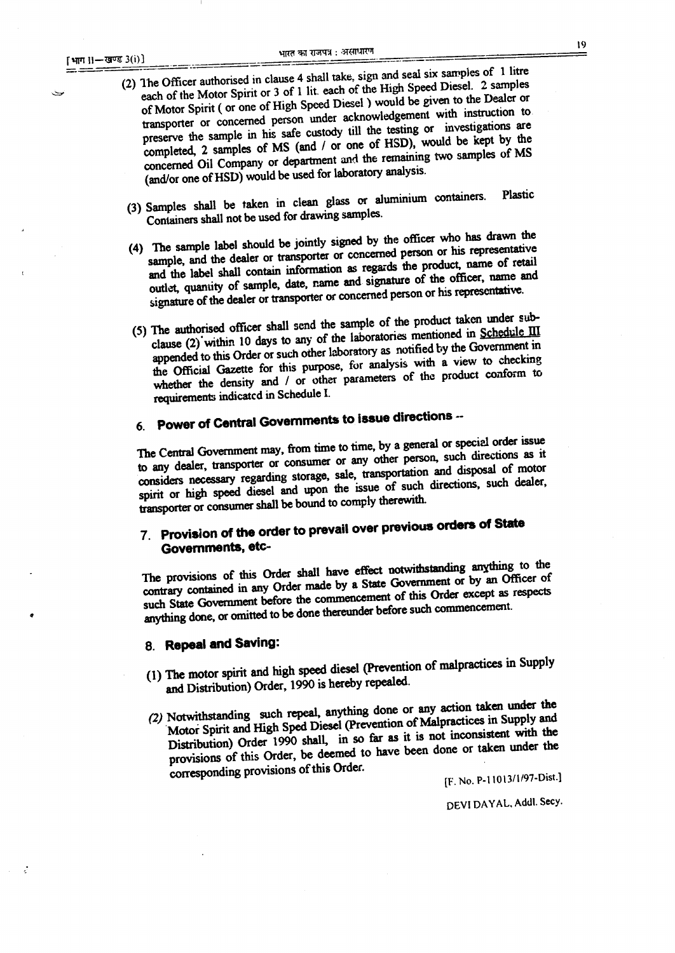- --------.- -- ----- (2) The Officer authorised in clause 4 shall take, sign and search of the 1 literature of 1 literature of the High Speed Diesel. 2 samples each of the Motor Spirit or 3 of 1 lit. each of the High Speed Diesel. 2 samples of Motor Spirit ( or one of High Speed Diesel ) would be given to the Dealer or transporter or concerned person under acknowledgement with instruction to preserve the sample in his safe custody till the testing or investigations are completed, 2 samples of MS (and *I* or one of HSD), would be kept by the concerned Oil Company or department and the remaining two samples of MS (and/or one of HSD) would be used for laboratory analysis.
	- (3) Samples shall be taken in clean glass or aluminium containers. Plastic Containers shall not be used for drawing samples.
	- (4) The sample label should be jointly signed by the officer who has drawn the sample, and the dealer or transporter or concerned person or his representative and the label shall contain information as regards the product. name of retail outlet, quantity of sample, date, name and signature of the officer, name and signature of the dealer or transporter or concerned person or his representative.
	- (5) The authorised officer shall send the sample of the product taken mder subclause (2) within 10 days to any of the laboratories mentioned in Schedule III appended to this Order or such other laboratory as notified by the Government in the Official Gazette for this purpose, for analysis with a view to checking the Official Gazette for this purpose, for analysis with a violute conform to whether the density and  $\ell$  or other parameters of the product conformation of  $\ell$ requirement:;indicatcd in Schedule I.

# 6. Power of Central Governments to issue directions --

The Central Government may, from time to time, by a general or special order issue to any dealer, transporter or consumer or any other person, such directions as it considers necessary regarding storage, sale, transportation and disposal of motor spirit or high speed diesel and upon the issue of such directions, such dealer, transporter or consumer shall be bound to comply therewith.

# 7. provision of the order to prevail over previous orders of State Governments. ete-

The provisions of this Order shall have effect notwithstanding anything to the contrary contained in any Order made by a State Government or by an Officer of such State Government before the commencement of this Order except as respects anything done, or omitted to be done thereunder before such commencement.

## 8. Repeal and Saving:

.

- (1) The motor spirit and high speed diesel (Prevention of malpractices in Supply and Distribution) Order, 1990 is hereby repealed.
- (2) Notwithstanding such repeal, anything done or any action taken under the Motor Spirit and High Sped Diesel (prevention of Malpractices in Supply and Distribution) Order 1990 shall, in so far as it is not inconsistent with the provisions of this Order, be deemed to have been done or corresponding provisions of this Order.

[F. No. P\_II013/1/97-Dist.]

DEVI DAYAL, Addl. Secy.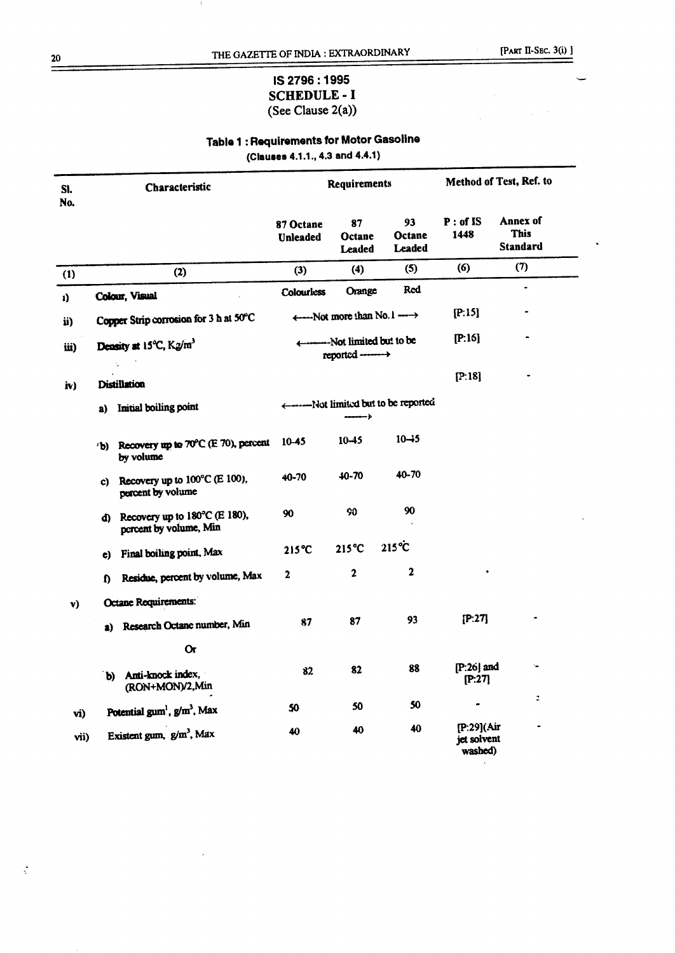$\,$   $\,$ 

## IS 2796:1995 **SCHEDULE - I** (See Clause 2(a))

# Table 1 : Requirements for Motor Gasoline

(Clauses 4.1.1., 4.3 and 4.4.1)

| SI.<br>No. | Characteristic |                                                                      | <b>Requirements</b>          |                                                                                                                                                                                                                                |                                        | Method of Test, Ref. to              |                                     |
|------------|----------------|----------------------------------------------------------------------|------------------------------|--------------------------------------------------------------------------------------------------------------------------------------------------------------------------------------------------------------------------------|----------------------------------------|--------------------------------------|-------------------------------------|
|            |                |                                                                      | 87 Octane<br><b>Unleaded</b> | 87<br>Octane<br><b>Leaded</b>                                                                                                                                                                                                  | 93<br>Octane<br>Leaded                 | $P:$ of IS<br>1448                   | Annex of<br><b>This</b><br>Standard |
| (1)        |                | (2)                                                                  | (3)                          | (4)                                                                                                                                                                                                                            | (5)                                    | (6)                                  | (7)                                 |
| ı)         |                | Colour, Visual                                                       | Colourless                   | Orange                                                                                                                                                                                                                         | <b>Red</b>                             |                                      | ٠                                   |
| ii)        |                | Copper Strip corrosion for 3 h at 50°C                               |                              | ← Not more than No. 1 ––––                                                                                                                                                                                                     |                                        | [P:15]                               |                                     |
| iii)       |                | Density at 15°C, K2/m <sup>3</sup>                                   |                              | we have been a between the set of the set of the set of the set of the set of the set of the set of the set of the set of the set of the set of the set of the set of the set of the set of the set of the set of the set of t |                                        | [P:15]                               |                                     |
| iv)        |                | <b>Distillation</b>                                                  |                              |                                                                                                                                                                                                                                |                                        | [P:18]                               |                                     |
|            | a)             | Initial boiling point                                                |                              | $\leftarrow$                                                                                                                                                                                                                   | <-------Not limited but to be reported |                                      |                                     |
|            |                | b) Recovery up to 70°C (E 70), percent<br>by volume                  | $10-45$                      | $10 - 45$                                                                                                                                                                                                                      | $10 - 5$                               |                                      |                                     |
|            | C)             | Recovery up to 100°C (E 100),<br>percent by volume                   | 40-70                        | $40 - 70$                                                                                                                                                                                                                      | 40-70                                  |                                      |                                     |
|            |                | d) Recovery up to $180^{\circ}$ C (E 180),<br>percent by volume, Min | 90                           | 90                                                                                                                                                                                                                             | 90                                     |                                      |                                     |
|            |                | e) Final boiling point, Max                                          | $215^{\circ}C$               | $215^{\circ}C$                                                                                                                                                                                                                 | $215^{\circ}$ C                        |                                      |                                     |
|            | D.             | Residue, percent by volume, Max                                      | $\mathbf{2}$                 | $\mathbf{2}$                                                                                                                                                                                                                   | $\overline{\mathbf{2}}$                |                                      |                                     |
| v)         |                | Octane Requirements:                                                 |                              |                                                                                                                                                                                                                                |                                        |                                      |                                     |
|            |                | a) Research Octane number, Min                                       | 87                           | 87                                                                                                                                                                                                                             | 93                                     | [P:27]                               |                                     |
|            |                | 0r                                                                   |                              |                                                                                                                                                                                                                                |                                        |                                      |                                     |
|            |                | b) Anti-knock index,<br>(RON+MON)/2,Min                              | 82                           | 82                                                                                                                                                                                                                             | 88                                     | $[P:26]$ and<br>[P:27]               |                                     |
| vi)        |                | Potential gum <sup>1</sup> , g/m <sup>3</sup> , Max                  | 50                           | 50                                                                                                                                                                                                                             | 50                                     |                                      | 2                                   |
| vii)       |                | Existent gum, g/m <sup>3</sup> , Max                                 | 40                           | 40                                                                                                                                                                                                                             | 40                                     | [P:29](Air<br>jet solvent<br>washed) |                                     |

20

 $\ddot{\cdot}$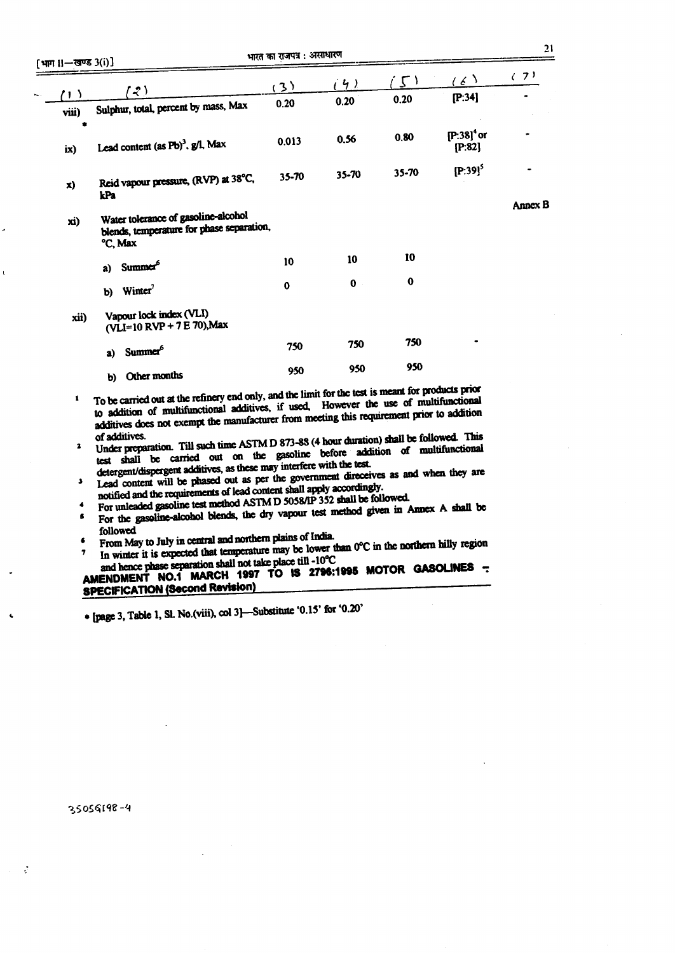| լուս |                |                                                                                             | (3)      | (4)         | $\cdot$ 2, $\cdot$ | (6)                                | (7)     |
|------|----------------|---------------------------------------------------------------------------------------------|----------|-------------|--------------------|------------------------------------|---------|
|      | 7 I )<br>viii) | $\mathcal{L}$<br>Sulphur, total, percent by mass, Max                                       | 0.20     | 0.20        | 0.20               | [P:34]                             |         |
|      | ۰<br>ix)       | Lead content (as Pb) <sup>3</sup> , g/l, Max                                                | 0.013    | 0.56        | 0.80               | $[P:38]$ <sup>4</sup> or<br>[P:82] |         |
|      | X)             | Reid vapour pressure, (RVP) at 38°C,                                                        | 35-70    | 35-70       | 35-70              | $[P:39]^{5}$                       |         |
|      |                | kPa                                                                                         |          |             |                    |                                    | Annex B |
|      | xi)            | Water tolerance of gasoline-alcohol<br>blends, temperature for phase separation,<br>°C, Max |          |             |                    |                                    |         |
|      |                | Summer <sup>6</sup><br><b>a</b> )                                                           | 10       | 10          | 10                 |                                    |         |
|      |                | Winter <sup>7</sup><br>b)                                                                   | $\bf{0}$ | $\mathbf 0$ | $\bf{0}$           |                                    |         |
|      | xii)           | Vapour lock index (VLI)<br>(VLI=10 RVP + 7 E 70), Max                                       |          |             |                    |                                    |         |
|      |                | Summer <sup>6</sup><br>a)                                                                   | 750      | 750         | 750                |                                    |         |
|      |                | b) Other months                                                                             | 950      | 950         | 950                |                                    |         |

- <sup>1</sup> To be carried out at the refinery end only, and the limit for the test is meant for products prior to addition of multifunctional additives, if used, However the use of multifunctional additives does not exempt the manufacturer from meeting this requirement prior to addition
- of additives.<br><sup>2</sup> Under preparation. Till such time ASTMD 873-88 (4 hour duration) shall be followed. This test shall be carried out on the gasoline before addition of multifunctional detergent/dispergent additives, as these may interfere with the test.
- determines a the test may interfere with the test. .) Lead content will be phased out as per the government direccives as and when they are notified and the requirements of lead content shall apply accordingly.
- 
- For unleaded gasoline test method ASTM D 5058/IP 352 shall be followed. For the gasoline-alcohol blends, the dry vapour test method given in Annex A shall be
- followed , From May to July in central and northern plains of India.
- The lower than  $0^{\circ}$ C in the northern may region in winter it is expected that temperature may be lower than  $0^{\circ}$ C in the northern may region and hence phase separation shall not take place till -10°C

# AMENDMENT NO.1 MARCH 1997 TO IS 2796:1995 MOTOR GASOLINES -**SPECIFICATION (Second Revision)**

 $*$  [page 3, Table 1, Sl. No.(viii), col 3]-Substitute '0.15' for '0.20'

35056198-4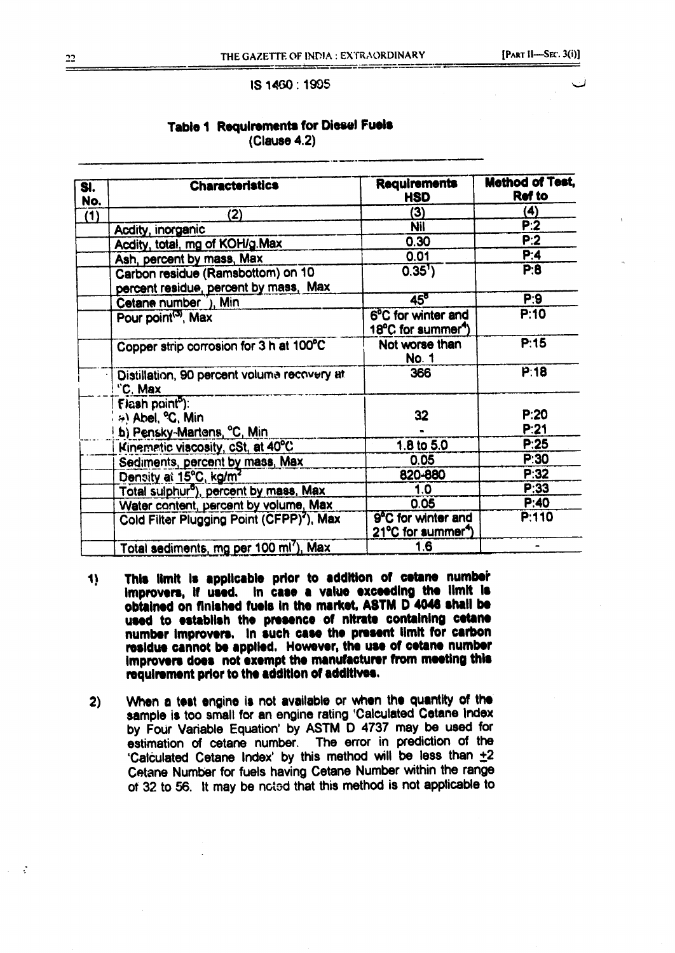#### IS 1460: 1905

### **Table 1 Requirements for Diesel Fuels** (Clause 4.2)

| SI.<br>No. | <b>Characteristics</b>                                                     | <b>Requirements</b><br><b>HSD</b>                    | <b>Method of Test,</b><br><b>Ref to</b> |
|------------|----------------------------------------------------------------------------|------------------------------------------------------|-----------------------------------------|
| (1)        | (2)                                                                        | (3)                                                  | $\bf{(4)}$                              |
|            | Acdity, inorganic                                                          | Nil                                                  | P:2                                     |
|            | Acdity, total, mg of KOH/g.Max                                             | 0.30                                                 | P:2                                     |
|            | Ash, percent by mass, Max                                                  | 0.01                                                 | P:4                                     |
|            | Carbon residue (Ramsbottom) on 10<br>percent residue, percent by mass, Max | 0.35'                                                | P:8                                     |
|            | Cetane number 1), Min                                                      | $45^{\circ}$                                         | P:9                                     |
|            | Pour point <sup>(3)</sup> , Max                                            | 6°C for winter and<br>18°C for summer <sup>4</sup>   | P:10                                    |
|            | Copper strip corrosion for 3 h at 100°C                                    | Not worse than<br><b>No. 1</b>                       | P:15                                    |
|            | Distillation, 90 percent voluma recovery at<br>"C. Max                     | 366                                                  | P:18                                    |
|            | Flash point <sup>5</sup> ):                                                |                                                      |                                         |
|            | <sup>4</sup> ) Abel, <sup>o</sup> C, Min                                   | 32                                                   | P:20                                    |
|            | b) Pensky-Martens, °C, Min.                                                |                                                      | P:21                                    |
|            | Kinematic viscosity, cSt, at 40°C                                          | 1.8 to $5.0$                                         | P:25                                    |
|            | Sediments, percent by mass, Max                                            | 0.05                                                 | P:30                                    |
|            | Density at 15°C, kg/m <sup>2</sup>                                         | 820-880                                              | P:32                                    |
|            | Total sulphur <sup>5</sup> ), percent by mass, Max                         | 1.0                                                  | P:33                                    |
|            | Water content, percent by volume, Max                                      | 0.05                                                 | P:40                                    |
|            | Cold Filter Plugging Point (CFPP) <sup>2</sup> ), Max                      | 9°C for winter and<br>21°C for summer <sup>4</sup> ) | P:110                                   |
|            | Total sediments, mg per 100 ml'), Max                                      | 1.6                                                  |                                         |

- This limit is applicable prior to addition of cetane number  $\ddot{}$ improvers, if used. In case a value exceeding the limit is obtained on finished fuels in the market, ASTM D 4046 shall be used to establish the presence of nitrate containing cetane number improvers. In such case the present limit for carbon residue cannot be applied. However, the use of cetane number improvers does not exempt the manufacturer from meeting this requirement prior to the addition of additives.
- When a test engine is not available or when the quantity of the  $2)$ sample is too small for an engine rating 'Calculated Cetane Index by Four Variable Equation' by ASTM D 4737 may be used for estimation of cetane number. The error in prediction of the 'Calculated Cetane Index' by this method will be less than +2 Cetane Number for fuels having Cetane Number within the range of 32 to 56. It may be noted that this method is not applicable to